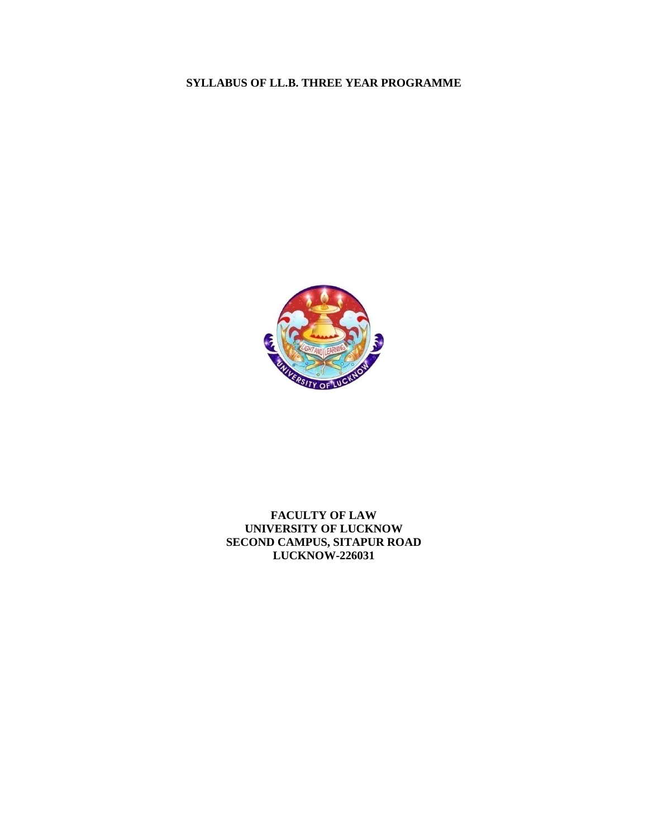# **SYLLABUS OF LL.B. THREE YEAR PROGRAMME**



# **FACULTY OF LAW UNIVERSITY OF LUCKNOW SECOND CAMPUS, SITAPUR ROAD LUCKNOW-226031**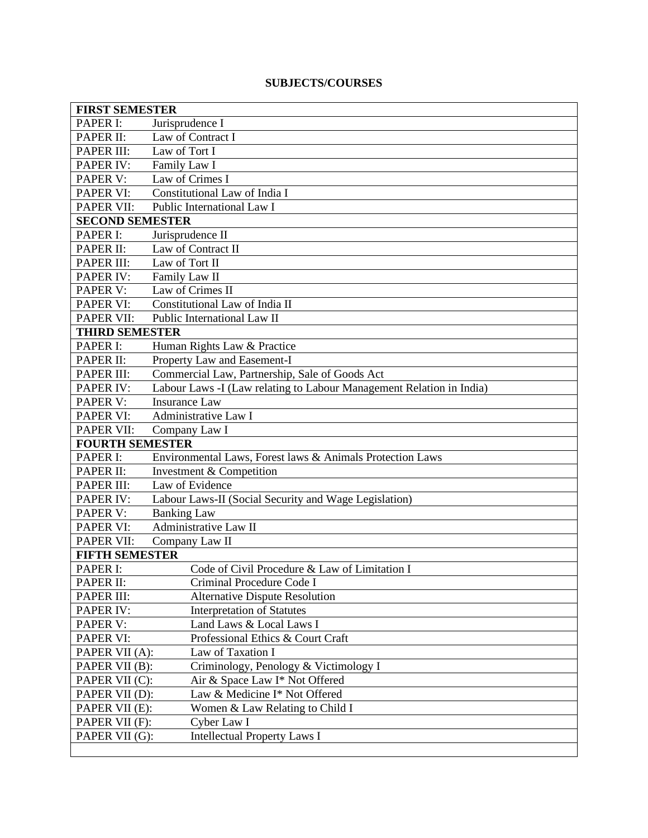# **SUBJECTS/COURSES**

| <b>FIRST SEMESTER</b>  |                                                                      |  |
|------------------------|----------------------------------------------------------------------|--|
| PAPER I:               | Jurisprudence I                                                      |  |
| PAPER II:              | Law of Contract I                                                    |  |
| PAPER III:             | Law of Tort I                                                        |  |
| PAPER IV:              | Family Law I                                                         |  |
| PAPER V:               | Law of Crimes I                                                      |  |
| <b>PAPER VI:</b>       | Constitutional Law of India I                                        |  |
| <b>PAPER VII:</b>      | Public International Law I                                           |  |
| <b>SECOND SEMESTER</b> |                                                                      |  |
| PAPER I:               | Jurisprudence II                                                     |  |
| PAPER II:              | Law of Contract II                                                   |  |
| PAPER III:             | Law of Tort II                                                       |  |
| PAPER IV:              | Family Law II                                                        |  |
| PAPER V:               | Law of Crimes II                                                     |  |
| <b>PAPER VI:</b>       | Constitutional Law of India II                                       |  |
| <b>PAPER VII:</b>      | Public International Law II                                          |  |
| <b>THIRD SEMESTER</b>  |                                                                      |  |
| PAPER I:               | Human Rights Law & Practice                                          |  |
| PAPER II:              | Property Law and Easement-I                                          |  |
| PAPER III:             | Commercial Law, Partnership, Sale of Goods Act                       |  |
| <b>PAPER IV:</b>       | Labour Laws -I (Law relating to Labour Management Relation in India) |  |
| PAPER V:               | <b>Insurance Law</b>                                                 |  |
| <b>PAPER VI:</b>       | Administrative Law I                                                 |  |
| PAPER VII:             | Company Law I                                                        |  |
| <b>FOURTH SEMESTER</b> |                                                                      |  |
| PAPER I:               | Environmental Laws, Forest laws & Animals Protection Laws            |  |
| PAPER II:              | Investment & Competition                                             |  |
| PAPER III:             | Law of Evidence                                                      |  |
| <b>PAPER IV:</b>       | Labour Laws-II (Social Security and Wage Legislation)                |  |
| PAPER V:               | <b>Banking Law</b>                                                   |  |
| <b>PAPER VI:</b>       | <b>Administrative Law II</b>                                         |  |
| <b>PAPER VII:</b>      | Company Law II                                                       |  |
| <b>FIFTH SEMESTER</b>  |                                                                      |  |
| PAPER I:               | Code of Civil Procedure & Law of Limitation I                        |  |
| PAPER II:              | Criminal Procedure Code I                                            |  |
| PAPER III:             | <b>Alternative Dispute Resolution</b>                                |  |
| <b>PAPER IV:</b>       | <b>Interpretation of Statutes</b>                                    |  |
| PAPER V:               | Land Laws & Local Laws I                                             |  |
| PAPER VI:              | Professional Ethics & Court Craft                                    |  |
| PAPER VII (A):         | Law of Taxation I                                                    |  |
| PAPER VII (B):         | Criminology, Penology & Victimology I                                |  |
| PAPER VII (C):         | Air & Space Law I* Not Offered                                       |  |
| PAPER VII (D):         | Law & Medicine I* Not Offered                                        |  |
| PAPER VII (E):         | Women & Law Relating to Child I                                      |  |
| PAPER VII (F):         | Cyber Law I                                                          |  |
| PAPER VII (G):         | <b>Intellectual Property Laws I</b>                                  |  |
|                        |                                                                      |  |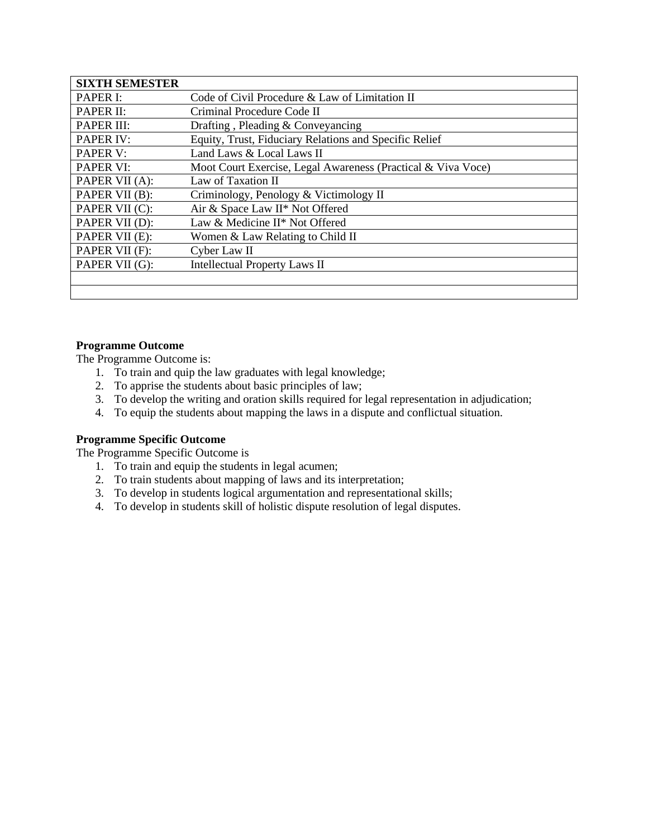| <b>SIXTH SEMESTER</b> |                                                              |
|-----------------------|--------------------------------------------------------------|
| <b>PAPER I:</b>       | Code of Civil Procedure & Law of Limitation II               |
| PAPER II:             | Criminal Procedure Code II                                   |
| PAPER III:            | Drafting, Pleading & Conveyancing                            |
| <b>PAPER IV:</b>      | Equity, Trust, Fiduciary Relations and Specific Relief       |
| <b>PAPER V:</b>       | Land Laws & Local Laws II                                    |
| <b>PAPER VI:</b>      | Moot Court Exercise, Legal Awareness (Practical & Viva Voce) |
| PAPER VII (A):        | Law of Taxation II                                           |
| PAPER VII (B):        | Criminology, Penology & Victimology II                       |
| PAPER VII (C):        | Air & Space Law II* Not Offered                              |
| PAPER VII (D):        | Law & Medicine II* Not Offered                               |
| PAPER VII (E):        | Women & Law Relating to Child II                             |
| PAPER VII (F):        | Cyber Law II                                                 |
| PAPER VII (G):        | <b>Intellectual Property Laws II</b>                         |
|                       |                                                              |
|                       |                                                              |

# **Programme Outcome**

The Programme Outcome is:

- 1. To train and quip the law graduates with legal knowledge;
- 2. To apprise the students about basic principles of law;
- 3. To develop the writing and oration skills required for legal representation in adjudication;
- 4. To equip the students about mapping the laws in a dispute and conflictual situation.

#### **Programme Specific Outcome**

The Programme Specific Outcome is

- 1. To train and equip the students in legal acumen;
- 2. To train students about mapping of laws and its interpretation;
- 3. To develop in students logical argumentation and representational skills;
- 4. To develop in students skill of holistic dispute resolution of legal disputes.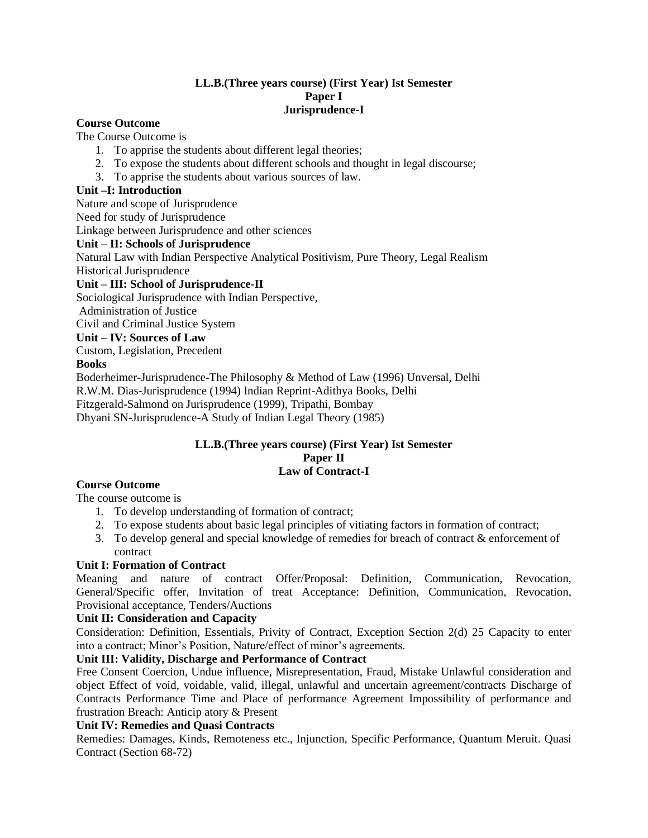#### **LL.B.(Three years course) (First Year) Ist Semester Paper I Jurisprudence-I**

## **Course Outcome**

The Course Outcome is

- 1. To apprise the students about different legal theories;
- 2. To expose the students about different schools and thought in legal discourse;
- 3. To apprise the students about various sources of law.

## **Unit –I: Introduction**

Nature and scope of Jurisprudence

Need for study of Jurisprudence

Linkage between Jurisprudence and other sciences

# **Unit – II: Schools of Jurisprudence**

Natural Law with Indian Perspective Analytical Positivism, Pure Theory, Legal Realism Historical Jurisprudence

# **Unit – III: School of Jurisprudence-II**

Sociological Jurisprudence with Indian Perspective,

Administration of Justice Civil and Criminal Justice System

# **Unit – IV: Sources of Law**

Custom, Legislation, Precedent

# **Books**

Boderheimer-Jurisprudence-The Philosophy & Method of Law (1996) Unversal, Delhi R.W.M. Dias-Jurisprudence (1994) Indian Reprint-Adithya Books, Delhi Fitzgerald-Salmond on Jurisprudence (1999), Tripathi, Bombay Dhyani SN-Jurisprudence-A Study of Indian Legal Theory (1985)

#### **LL.B.(Three years course) (First Year) Ist Semester Paper II Law of Contract-I**

# **Course Outcome**

The course outcome is

- 1. To develop understanding of formation of contract;
- 2. To expose students about basic legal principles of vitiating factors in formation of contract;
- 3. To develop general and special knowledge of remedies for breach of contract & enforcement of contract

# **Unit I: Formation of Contract**

Meaning and nature of contract Offer/Proposal: Definition, Communication, Revocation, General/Specific offer, Invitation of treat Acceptance: Definition, Communication, Revocation, Provisional acceptance, Tenders/Auctions

# **Unit II: Consideration and Capacity**

Consideration: Definition, Essentials, Privity of Contract, Exception Section 2(d) 25 Capacity to enter into a contract; Minor's Position, Nature/effect of minor's agreements.

# **Unit III: Validity, Discharge and Performance of Contract**

Free Consent Coercion, Undue influence, Misrepresentation, Fraud, Mistake Unlawful consideration and object Effect of void, voidable, valid, illegal, unlawful and uncertain agreement/contracts Discharge of Contracts Performance Time and Place of performance Agreement Impossibility of performance and frustration Breach: Anticip atory & Present

#### **Unit IV: Remedies and Quasi Contracts**

Remedies: Damages, Kinds, Remoteness etc., Injunction, Specific Performance, Quantum Meruit. Quasi Contract (Section 68-72)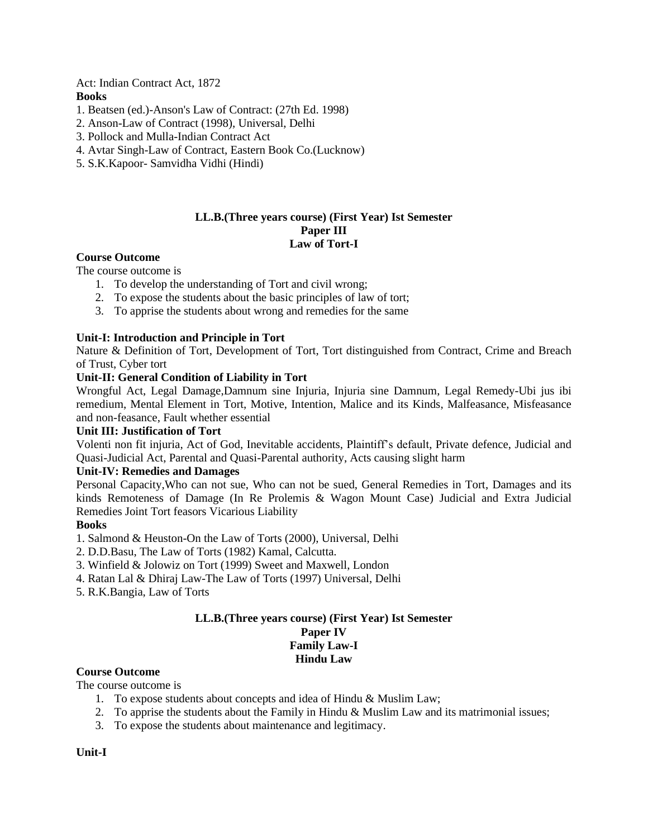Act: Indian Contract Act, 1872 **Books**

- 1. Beatsen (ed.)-Anson's Law of Contract: (27th Ed. 1998)
- 2. Anson-Law of Contract (1998), Universal, Delhi
- 3. Pollock and Mulla-Indian Contract Act
- 4. Avtar Singh-Law of Contract, Eastern Book Co.(Lucknow)
- 5. S.K.Kapoor- Samvidha Vidhi (Hindi)

#### **LL.B.(Three years course) (First Year) Ist Semester Paper III Law of Tort-I**

#### **Course Outcome**

The course outcome is

- 1. To develop the understanding of Tort and civil wrong;
- 2. To expose the students about the basic principles of law of tort;
- 3. To apprise the students about wrong and remedies for the same

#### **Unit-I: Introduction and Principle in Tort**

Nature & Definition of Tort, Development of Tort, Tort distinguished from Contract, Crime and Breach of Trust, Cyber tort

#### **Unit-II: General Condition of Liability in Tort**

Wrongful Act, Legal Damage,Damnum sine Injuria, Injuria sine Damnum, Legal Remedy-Ubi jus ibi remedium, Mental Element in Tort, Motive, Intention, Malice and its Kinds, Malfeasance, Misfeasance and non-feasance, Fault whether essential

#### **Unit III: Justification of Tort**

Volenti non fit injuria, Act of God, Inevitable accidents, Plaintiff's default, Private defence, Judicial and Quasi-Judicial Act, Parental and Quasi-Parental authority, Acts causing slight harm

#### **Unit-IV: Remedies and Damages**

Personal Capacity,Who can not sue, Who can not be sued, General Remedies in Tort, Damages and its kinds Remoteness of Damage (In Re Prolemis & Wagon Mount Case) Judicial and Extra Judicial Remedies Joint Tort feasors Vicarious Liability

#### **Books**

- 1. Salmond & Heuston-On the Law of Torts (2000), Universal, Delhi
- 2. D.D.Basu, The Law of Torts (1982) Kamal, Calcutta.
- 3. Winfield & Jolowiz on Tort (1999) Sweet and Maxwell, London
- 4. Ratan Lal & Dhiraj Law-The Law of Torts (1997) Universal, Delhi
- 5. R.K.Bangia, Law of Torts

# **LL.B.(Three years course) (First Year) Ist Semester Paper IV Family Law-I Hindu Law**

# **Course Outcome**

The course outcome is

- 1. To expose students about concepts and idea of Hindu & Muslim Law;
- 2. To apprise the students about the Family in Hindu & Muslim Law and its matrimonial issues;
- 3. To expose the students about maintenance and legitimacy.

#### **Unit-I**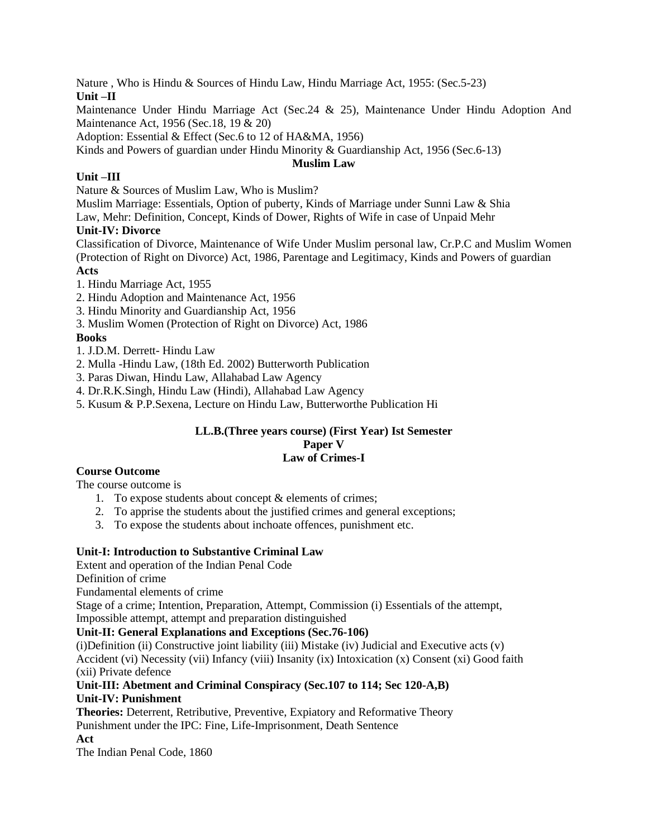Nature , Who is Hindu & Sources of Hindu Law, Hindu Marriage Act, 1955: (Sec.5-23) **Unit –II**

Maintenance Under Hindu Marriage Act (Sec.24 & 25), Maintenance Under Hindu Adoption And Maintenance Act, 1956 (Sec.18, 19 & 20)

Adoption: Essential & Effect (Sec.6 to 12 of HA&MA, 1956)

Kinds and Powers of guardian under Hindu Minority & Guardianship Act, 1956 (Sec.6-13)

#### **Muslim Law**

# **Unit –III**

Nature & Sources of Muslim Law, Who is Muslim?

Muslim Marriage: Essentials, Option of puberty, Kinds of Marriage under Sunni Law & Shia

Law, Mehr: Definition, Concept, Kinds of Dower, Rights of Wife in case of Unpaid Mehr

# **Unit-IV: Divorce**

Classification of Divorce, Maintenance of Wife Under Muslim personal law, Cr.P.C and Muslim Women (Protection of Right on Divorce) Act, 1986, Parentage and Legitimacy, Kinds and Powers of guardian **Acts**

1. Hindu Marriage Act, 1955

2. Hindu Adoption and Maintenance Act, 1956

3. Hindu Minority and Guardianship Act, 1956

3. Muslim Women (Protection of Right on Divorce) Act, 1986

# **Books**

1. J.D.M. Derrett- Hindu Law

2. Mulla -Hindu Law, (18th Ed. 2002) Butterworth Publication

3. Paras Diwan, Hindu Law, Allahabad Law Agency

4. Dr.R.K.Singh, Hindu Law (Hindi), Allahabad Law Agency

5. Kusum & P.P.Sexena, Lecture on Hindu Law, Butterworthe Publication Hi

#### **LL.B.(Three years course) (First Year) Ist Semester Paper V Law of Crimes-I**

# **Course Outcome**

The course outcome is

- 1. To expose students about concept & elements of crimes;
- 2. To apprise the students about the justified crimes and general exceptions;
- 3. To expose the students about inchoate offences, punishment etc.

#### **Unit-I: Introduction to Substantive Criminal Law**

Extent and operation of the Indian Penal Code

Definition of crime

Fundamental elements of crime

Stage of a crime; Intention, Preparation, Attempt, Commission (i) Essentials of the attempt, Impossible attempt, attempt and preparation distinguished

#### **Unit-II: General Explanations and Exceptions (Sec.76-106)**

 $(i)$ Definition (ii) Constructive joint liability (iii) Mistake (iv) Judicial and Executive acts (v) Accident (vi) Necessity (vii) Infancy (viii) Insanity (ix) Intoxication (x) Consent (xi) Good faith (xii) Private defence

**Unit-III: Abetment and Criminal Conspiracy (Sec.107 to 114; Sec 120-A,B) Unit-IV: Punishment**

**Theories:** Deterrent, Retributive, Preventive, Expiatory and Reformative Theory Punishment under the IPC: Fine, Life-Imprisonment, Death Sentence

**Act**

The Indian Penal Code, 1860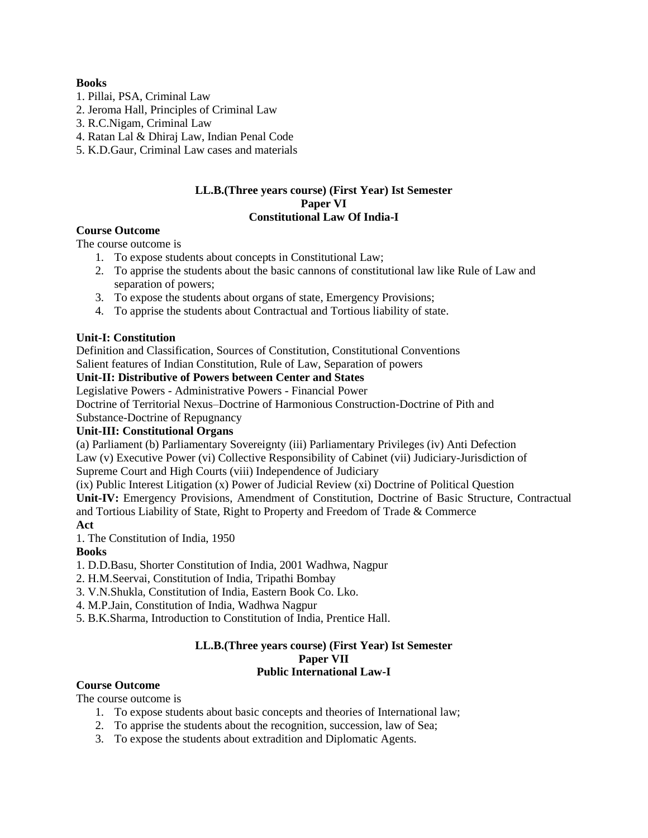### **Books**

- 1. Pillai, PSA, Criminal Law
- 2. Jeroma Hall, Principles of Criminal Law
- 3. R.C.Nigam, Criminal Law
- 4. Ratan Lal & Dhiraj Law, Indian Penal Code
- 5. K.D.Gaur, Criminal Law cases and materials

#### **LL.B.(Three years course) (First Year) Ist Semester Paper VI Constitutional Law Of India-I**

#### **Course Outcome**

The course outcome is

- 1. To expose students about concepts in Constitutional Law;
- 2. To apprise the students about the basic cannons of constitutional law like Rule of Law and separation of powers;
- 3. To expose the students about organs of state, Emergency Provisions;
- 4. To apprise the students about Contractual and Tortious liability of state.

# **Unit-I: Constitution**

Definition and Classification, Sources of Constitution, Constitutional Conventions

Salient features of Indian Constitution, Rule of Law, Separation of powers

# **Unit-II: Distributive of Powers between Center and States**

Legislative Powers - Administrative Powers - Financial Power

Doctrine of Territorial Nexus–Doctrine of Harmonious Construction-Doctrine of Pith and

Substance-Doctrine of Repugnancy

#### **Unit-III: Constitutional Organs**

(a) Parliament (b) Parliamentary Sovereignty (iii) Parliamentary Privileges (iv) Anti Defection Law (v) Executive Power (vi) Collective Responsibility of Cabinet (vii) Judiciary-Jurisdiction of Supreme Court and High Courts (viii) Independence of Judiciary

(ix) Public Interest Litigation (x) Power of Judicial Review (xi) Doctrine of Political Question

**Unit-IV:** Emergency Provisions, Amendment of Constitution, Doctrine of Basic Structure, Contractual and Tortious Liability of State, Right to Property and Freedom of Trade & Commerce **Act**

1. The Constitution of India, 1950

# **Books**

1. D.D.Basu, Shorter Constitution of India, 2001 Wadhwa, Nagpur

2. H.M.Seervai, Constitution of India, Tripathi Bombay

- 3. V.N.Shukla, Constitution of India, Eastern Book Co. Lko.
- 4. M.P.Jain, Constitution of India, Wadhwa Nagpur
- 5. B.K.Sharma, Introduction to Constitution of India, Prentice Hall.

#### **LL.B.(Three years course) (First Year) Ist Semester Paper VII Public International Law-I**

#### **Course Outcome**

The course outcome is

- 1. To expose students about basic concepts and theories of International law;
- 2. To apprise the students about the recognition, succession, law of Sea;
- 3. To expose the students about extradition and Diplomatic Agents.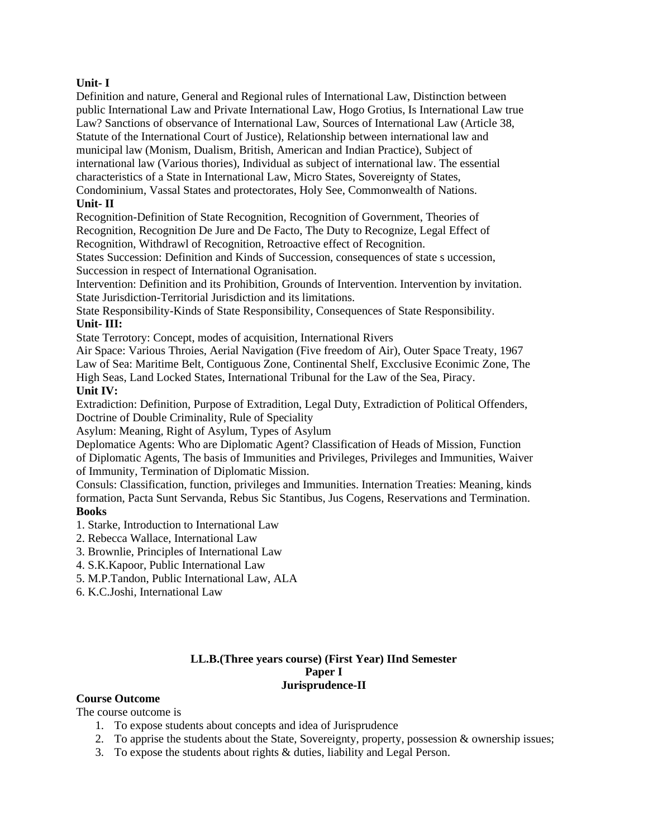### **Unit- I**

Definition and nature, General and Regional rules of International Law, Distinction between public International Law and Private International Law, Hogo Grotius, Is International Law true Law? Sanctions of observance of International Law, Sources of International Law (Article 38, Statute of the International Court of Justice), Relationship between international law and municipal law (Monism, Dualism, British, American and Indian Practice), Subject of international law (Various thories), Individual as subject of international law. The essential characteristics of a State in International Law, Micro States, Sovereignty of States,

Condominium, Vassal States and protectorates, Holy See, Commonwealth of Nations. **Unit- II**

Recognition-Definition of State Recognition, Recognition of Government, Theories of Recognition, Recognition De Jure and De Facto, The Duty to Recognize, Legal Effect of Recognition, Withdrawl of Recognition, Retroactive effect of Recognition.

States Succession: Definition and Kinds of Succession, consequences of state s uccession, Succession in respect of International Ogranisation.

Intervention: Definition and its Prohibition, Grounds of Intervention. Intervention by invitation. State Jurisdiction-Territorial Jurisdiction and its limitations.

State Responsibility-Kinds of State Responsibility, Consequences of State Responsibility. **Unit- III:**

State Terrotory: Concept, modes of acquisition, International Rivers

Air Space: Various Throies, Aerial Navigation (Five freedom of Air), Outer Space Treaty, 1967 Law of Sea: Maritime Belt, Contiguous Zone, Continental Shelf, Excclusive Econimic Zone, The High Seas, Land Locked States, International Tribunal for the Law of the Sea, Piracy.

# **Unit IV:**

Extradiction: Definition, Purpose of Extradition, Legal Duty, Extradiction of Political Offenders, Doctrine of Double Criminality, Rule of Speciality

Asylum: Meaning, Right of Asylum, Types of Asylum

Deplomatice Agents: Who are Diplomatic Agent? Classification of Heads of Mission, Function of Diplomatic Agents, The basis of Immunities and Privileges, Privileges and Immunities, Waiver of Immunity, Termination of Diplomatic Mission.

Consuls: Classification, function, privileges and Immunities. Internation Treaties: Meaning, kinds formation, Pacta Sunt Servanda, Rebus Sic Stantibus, Jus Cogens, Reservations and Termination. **Books**

- 1. Starke, Introduction to International Law
- 2. Rebecca Wallace, International Law
- 3. Brownlie, Principles of International Law
- 4. S.K.Kapoor, Public International Law
- 5. M.P.Tandon, Public International Law, ALA
- 6. K.C.Joshi, International Law

#### **LL.B.(Three years course) (First Year) IInd Semester Paper I Jurisprudence-II**

#### **Course Outcome**

The course outcome is

- 1. To expose students about concepts and idea of Jurisprudence
- 2. To apprise the students about the State, Sovereignty, property, possession & ownership issues;
- 3. To expose the students about rights & duties, liability and Legal Person.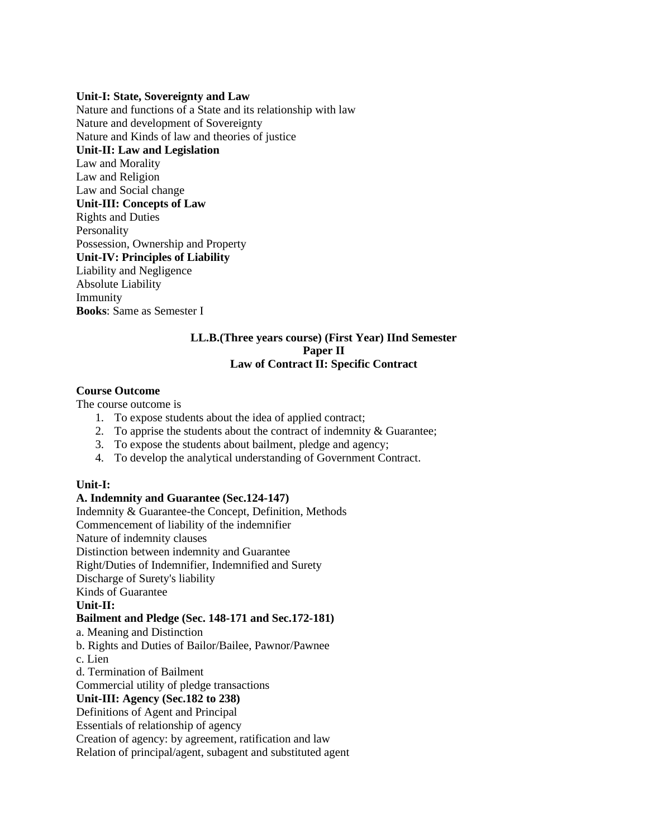#### **Unit-I: State, Sovereignty and Law**

Nature and functions of a State and its relationship with law Nature and development of Sovereignty Nature and Kinds of law and theories of justice **Unit-II: Law and Legislation** Law and Morality Law and Religion Law and Social change **Unit-III: Concepts of Law** Rights and Duties Personality Possession, Ownership and Property **Unit-IV: Principles of Liability** Liability and Negligence Absolute Liability Immunity **Books**: Same as Semester I

#### **LL.B.(Three years course) (First Year) IInd Semester Paper II Law of Contract II: Specific Contract**

#### **Course Outcome**

The course outcome is

- 1. To expose students about the idea of applied contract;
- 2. To apprise the students about the contract of indemnity  $\&$  Guarantee;
- 3. To expose the students about bailment, pledge and agency;
- 4. To develop the analytical understanding of Government Contract.

#### **Unit-I:**

#### **A. Indemnity and Guarantee (Sec.124-147)**

Indemnity & Guarantee-the Concept, Definition, Methods

Commencement of liability of the indemnifier

Nature of indemnity clauses

Distinction between indemnity and Guarantee

Right/Duties of Indemnifier, Indemnified and Surety

Discharge of Surety's liability

Kinds of Guarantee

# **Unit-II:**

#### **Bailment and Pledge (Sec. 148-171 and Sec.172-181)**

a. Meaning and Distinction

b. Rights and Duties of Bailor/Bailee, Pawnor/Pawnee

c. Lien

d. Termination of Bailment

Commercial utility of pledge transactions

# **Unit-III: Agency (Sec.182 to 238)**

Definitions of Agent and Principal

Essentials of relationship of agency

Creation of agency: by agreement, ratification and law

Relation of principal/agent, subagent and substituted agent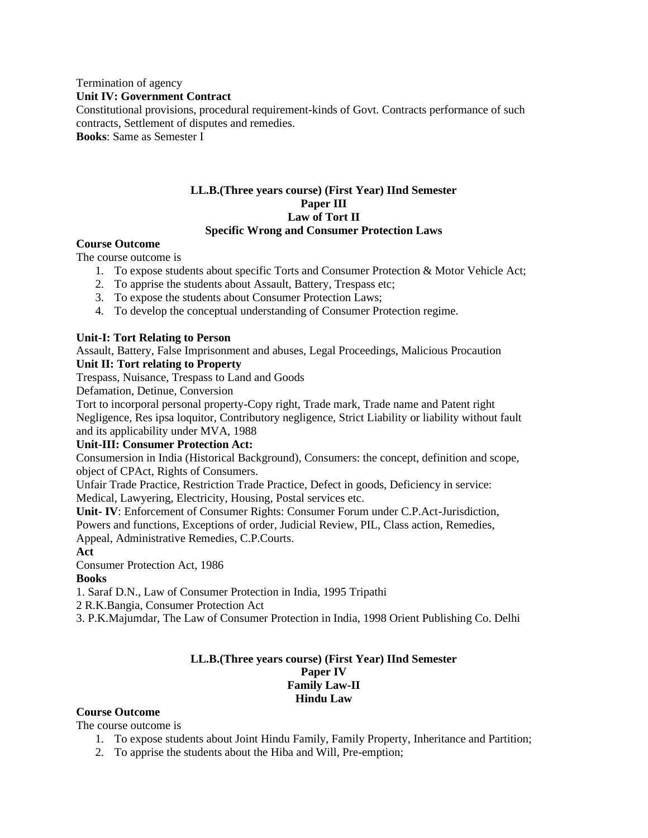Termination of agency **Unit IV: Government Contract** Constitutional provisions, procedural requirement-kinds of Govt. Contracts performance of such contracts, Settlement of disputes and remedies. **Books**: Same as Semester I

#### **LL.B.(Three years course) (First Year) IInd Semester Paper III Law of Tort II Specific Wrong and Consumer Protection Laws**

#### **Course Outcome**

The course outcome is

- 1. To expose students about specific Torts and Consumer Protection & Motor Vehicle Act;
- 2. To apprise the students about Assault, Battery, Trespass etc;
- 3. To expose the students about Consumer Protection Laws;
- 4. To develop the conceptual understanding of Consumer Protection regime.

#### **Unit-I: Tort Relating to Person**

Assault, Battery, False Imprisonment and abuses, Legal Proceedings, Malicious Procaution

#### **Unit II: Tort relating to Property**

Trespass, Nuisance, Trespass to Land and Goods

Defamation, Detinue, Conversion

Tort to incorporal personal property-Copy right, Trade mark, Trade name and Patent right Negligence, Res ipsa loquitor, Contributory negligence, Strict Liability or liability without fault and its applicability under MVA, 1988

#### **Unit-III: Consumer Protection Act:**

Consumersion in India (Historical Background), Consumers: the concept, definition and scope, object of CPAct, Rights of Consumers.

Unfair Trade Practice, Restriction Trade Practice, Defect in goods, Deficiency in service: Medical, Lawyering, Electricity, Housing, Postal services etc.

**Unit- IV**: Enforcement of Consumer Rights: Consumer Forum under C.P.Act-Jurisdiction, Powers and functions, Exceptions of order, Judicial Review, PIL, Class action, Remedies, Appeal, Administrative Remedies, C.P.Courts.

**Act**

Consumer Protection Act, 1986

#### **Books**

1. Saraf D.N., Law of Consumer Protection in India, 1995 Tripathi

2 R.K.Bangia, Consumer Protection Act

3. P.K.Majumdar, The Law of Consumer Protection in India, 1998 Orient Publishing Co. Delhi

#### **LL.B.(Three years course) (First Year) IInd Semester Paper IV Family Law-II Hindu Law**

#### **Course Outcome**

The course outcome is

- 1. To expose students about Joint Hindu Family, Family Property, Inheritance and Partition;
- 2. To apprise the students about the Hiba and Will, Pre-emption;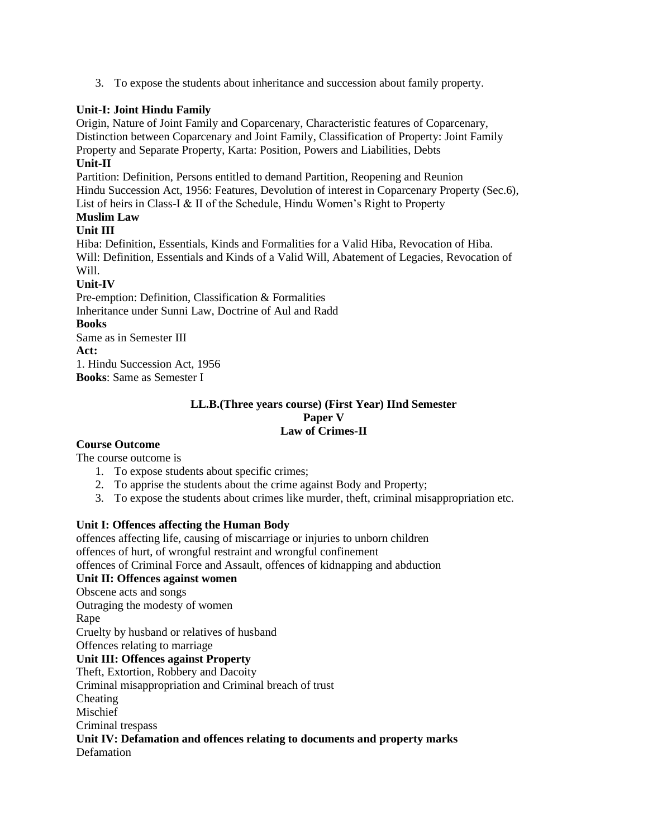3. To expose the students about inheritance and succession about family property.

# **Unit-I: Joint Hindu Family**

Origin, Nature of Joint Family and Coparcenary, Characteristic features of Coparcenary, Distinction between Coparcenary and Joint Family, Classification of Property: Joint Family Property and Separate Property, Karta: Position, Powers and Liabilities, Debts

# **Unit-II**

Partition: Definition, Persons entitled to demand Partition, Reopening and Reunion Hindu Succession Act, 1956: Features, Devolution of interest in Coparcenary Property (Sec.6), List of heirs in Class-I & II of the Schedule, Hindu Women's Right to Property

# **Muslim Law**

# **Unit III**

Hiba: Definition, Essentials, Kinds and Formalities for a Valid Hiba, Revocation of Hiba. Will: Definition, Essentials and Kinds of a Valid Will, Abatement of Legacies, Revocation of Will.

# **Unit-IV**

Pre-emption: Definition, Classification & Formalities Inheritance under Sunni Law, Doctrine of Aul and Radd

# **Books**

Same as in Semester III **Act:** 1. Hindu Succession Act, 1956 **Books**: Same as Semester I

#### **LL.B.(Three years course) (First Year) IInd Semester Paper V Law of Crimes-II**

# **Course Outcome**

The course outcome is

- 1. To expose students about specific crimes;
- 2. To apprise the students about the crime against Body and Property;
- 3. To expose the students about crimes like murder, theft, criminal misappropriation etc.

# **Unit I: Offences affecting the Human Body**

offences affecting life, causing of miscarriage or injuries to unborn children offences of hurt, of wrongful restraint and wrongful confinement offences of Criminal Force and Assault, offences of kidnapping and abduction **Unit II: Offences against women** Obscene acts and songs Outraging the modesty of women Rape Cruelty by husband or relatives of husband Offences relating to marriage **Unit III: Offences against Property** Theft, Extortion, Robbery and Dacoity Criminal misappropriation and Criminal breach of trust Cheating Mischief Criminal trespass **Unit IV: Defamation and offences relating to documents and property marks** Defamation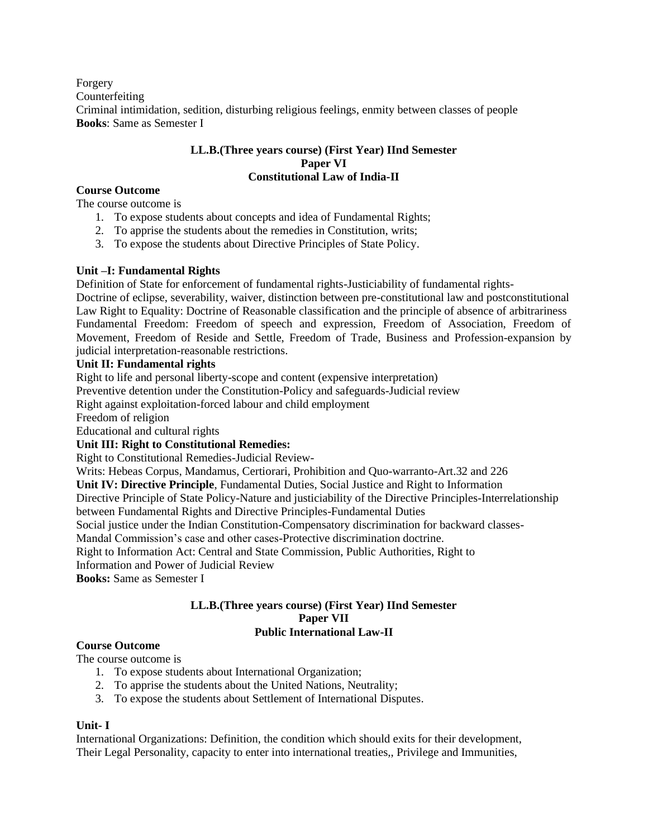Forgery Counterfeiting Criminal intimidation, sedition, disturbing religious feelings, enmity between classes of people **Books**: Same as Semester I

#### **LL.B.(Three years course) (First Year) IInd Semester Paper VI Constitutional Law of India-II**

#### **Course Outcome**

The course outcome is

- 1. To expose students about concepts and idea of Fundamental Rights;
- 2. To apprise the students about the remedies in Constitution, writs;
- 3. To expose the students about Directive Principles of State Policy.

#### **Unit –I: Fundamental Rights**

Definition of State for enforcement of fundamental rights-Justiciability of fundamental rights-

Doctrine of eclipse, severability, waiver, distinction between pre-constitutional law and postconstitutional Law Right to Equality: Doctrine of Reasonable classification and the principle of absence of arbitrariness Fundamental Freedom: Freedom of speech and expression, Freedom of Association, Freedom of Movement, Freedom of Reside and Settle, Freedom of Trade, Business and Profession-expansion by judicial interpretation-reasonable restrictions.

#### **Unit II: Fundamental rights**

Right to life and personal liberty-scope and content (expensive interpretation)

Preventive detention under the Constitution-Policy and safeguards-Judicial review

Right against exploitation-forced labour and child employment

Freedom of religion

Educational and cultural rights

#### **Unit III: Right to Constitutional Remedies:**

Right to Constitutional Remedies-Judicial Review-

Writs: Hebeas Corpus, Mandamus, Certiorari, Prohibition and Quo-warranto-Art.32 and 226

**Unit IV: Directive Principle**, Fundamental Duties, Social Justice and Right to Information

Directive Principle of State Policy-Nature and justiciability of the Directive Principles-Interrelationship between Fundamental Rights and Directive Principles-Fundamental Duties

Social justice under the Indian Constitution-Compensatory discrimination for backward classes-

Mandal Commission's case and other cases-Protective discrimination doctrine.

Right to Information Act: Central and State Commission, Public Authorities, Right to

Information and Power of Judicial Review

**Books:** Same as Semester I

#### **LL.B.(Three years course) (First Year) IInd Semester Paper VII Public International Law-II**

#### **Course Outcome**

The course outcome is

- 1. To expose students about International Organization;
- 2. To apprise the students about the United Nations, Neutrality;
- 3. To expose the students about Settlement of International Disputes.

#### **Unit- I**

International Organizations: Definition, the condition which should exits for their development, Their Legal Personality, capacity to enter into international treaties,, Privilege and Immunities,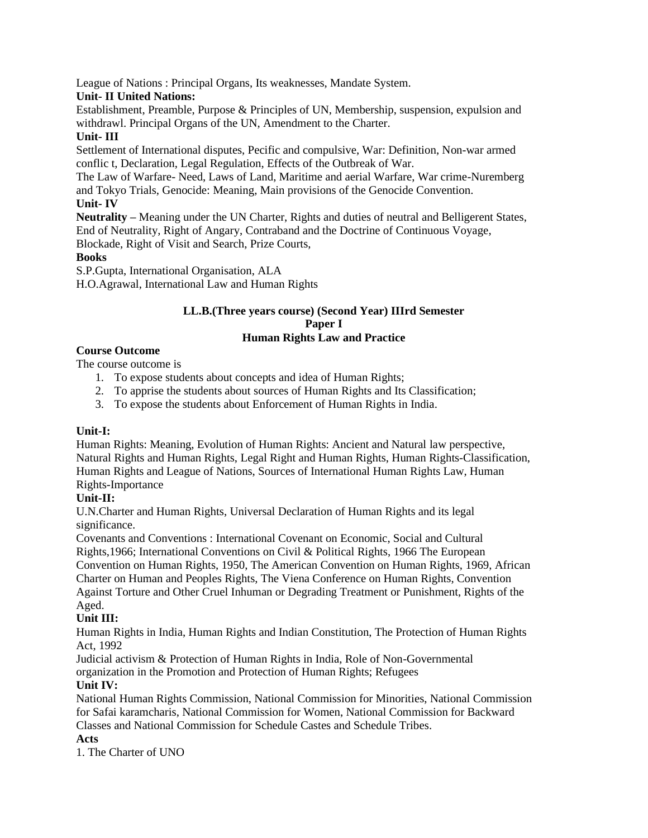League of Nations : Principal Organs, Its weaknesses, Mandate System.

# **Unit- II United Nations:**

Establishment, Preamble, Purpose & Principles of UN, Membership, suspension, expulsion and withdrawl. Principal Organs of the UN, Amendment to the Charter.

# **Unit- III**

Settlement of International disputes, Pecific and compulsive, War: Definition, Non-war armed conflic t, Declaration, Legal Regulation, Effects of the Outbreak of War.

The Law of Warfare- Need, Laws of Land, Maritime and aerial Warfare, War crime-Nuremberg and Tokyo Trials, Genocide: Meaning, Main provisions of the Genocide Convention. **Unit- IV**

**Neutrality –** Meaning under the UN Charter, Rights and duties of neutral and Belligerent States, End of Neutrality, Right of Angary, Contraband and the Doctrine of Continuous Voyage, Blockade, Right of Visit and Search, Prize Courts,

# **Books**

S.P.Gupta, International Organisation, ALA

H.O.Agrawal, International Law and Human Rights

### **LL.B.(Three years course) (Second Year) IIIrd Semester Paper I Human Rights Law and Practice**

# **Course Outcome**

The course outcome is

- 1. To expose students about concepts and idea of Human Rights;
- 2. To apprise the students about sources of Human Rights and Its Classification;
- 3. To expose the students about Enforcement of Human Rights in India.

# **Unit-I:**

Human Rights: Meaning, Evolution of Human Rights: Ancient and Natural law perspective, Natural Rights and Human Rights, Legal Right and Human Rights, Human Rights-Classification, Human Rights and League of Nations, Sources of International Human Rights Law, Human Rights-Importance

# **Unit-II:**

U.N.Charter and Human Rights, Universal Declaration of Human Rights and its legal significance.

Covenants and Conventions : International Covenant on Economic, Social and Cultural Rights,1966; International Conventions on Civil & Political Rights, 1966 The European Convention on Human Rights, 1950, The American Convention on Human Rights, 1969, African Charter on Human and Peoples Rights, The Viena Conference on Human Rights, Convention Against Torture and Other Cruel Inhuman or Degrading Treatment or Punishment, Rights of the Aged.

# **Unit III:**

Human Rights in India, Human Rights and Indian Constitution, The Protection of Human Rights Act, 1992

Judicial activism & Protection of Human Rights in India, Role of Non-Governmental organization in the Promotion and Protection of Human Rights; Refugees

# **Unit IV:**

National Human Rights Commission, National Commission for Minorities, National Commission for Safai karamcharis, National Commission for Women, National Commission for Backward Classes and National Commission for Schedule Castes and Schedule Tribes.

# **Acts**

1. The Charter of UNO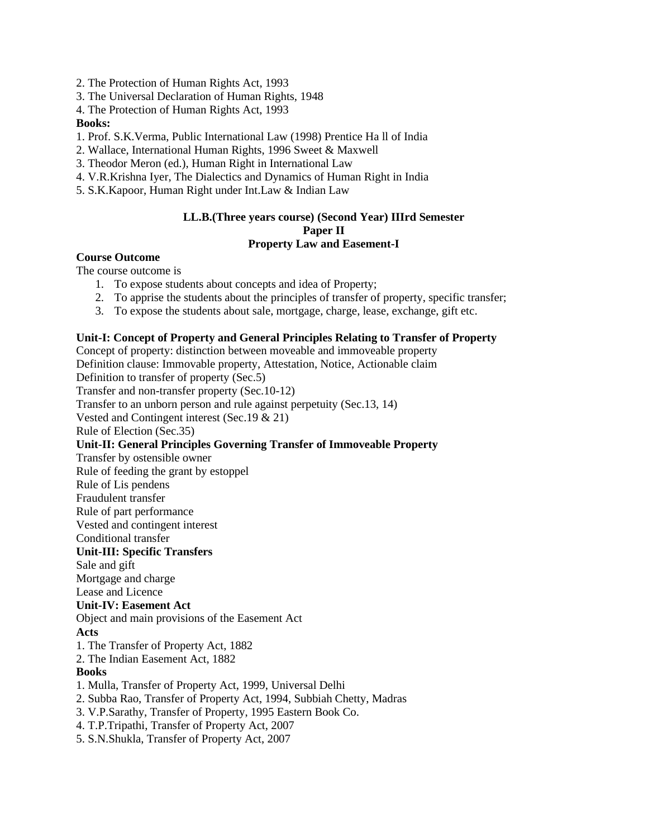2. The Protection of Human Rights Act, 1993

- 3. The Universal Declaration of Human Rights, 1948
- 4. The Protection of Human Rights Act, 1993

#### **Books:**

- 1. Prof. S.K.Verma, Public International Law (1998) Prentice Ha ll of India
- 2. Wallace, International Human Rights, 1996 Sweet & Maxwell
- 3. Theodor Meron (ed.), Human Right in International Law
- 4. V.R.Krishna Iyer, The Dialectics and Dynamics of Human Right in India
- 5. S.K.Kapoor, Human Right under Int.Law & Indian Law

### **LL.B.(Three years course) (Second Year) IIIrd Semester Paper II Property Law and Easement-I**

#### **Course Outcome**

The course outcome is

- 1. To expose students about concepts and idea of Property;
- 2. To apprise the students about the principles of transfer of property, specific transfer;
- 3. To expose the students about sale, mortgage, charge, lease, exchange, gift etc.

### **Unit-I: Concept of Property and General Principles Relating to Transfer of Property**

Concept of property: distinction between moveable and immoveable property

Definition clause: Immovable property, Attestation, Notice, Actionable claim Definition to transfer of property (Sec.5) Transfer and non-transfer property (Sec.10-12) Transfer to an unborn person and rule against perpetuity (Sec.13, 14) Vested and Contingent interest (Sec.19 & 21) Rule of Election (Sec.35) **Unit-II: General Principles Governing Transfer of Immoveable Property** Transfer by ostensible owner Rule of feeding the grant by estoppel Rule of Lis pendens Fraudulent transfer Rule of part performance Vested and contingent interest Conditional transfer **Unit-III: Specific Transfers** Sale and gift Mortgage and charge Lease and Licence **Unit-IV: Easement Act** Object and main provisions of the Easement Act **Acts** 1. The Transfer of Property Act, 1882 2. The Indian Easement Act, 1882 **Books** 1. Mulla, Transfer of Property Act, 1999, Universal Delhi 2. Subba Rao, Transfer of Property Act, 1994, Subbiah Chetty, Madras 3. V.P.Sarathy, Transfer of Property, 1995 Eastern Book Co. 4. T.P.Tripathi, Transfer of Property Act, 2007

5. S.N.Shukla, Transfer of Property Act, 2007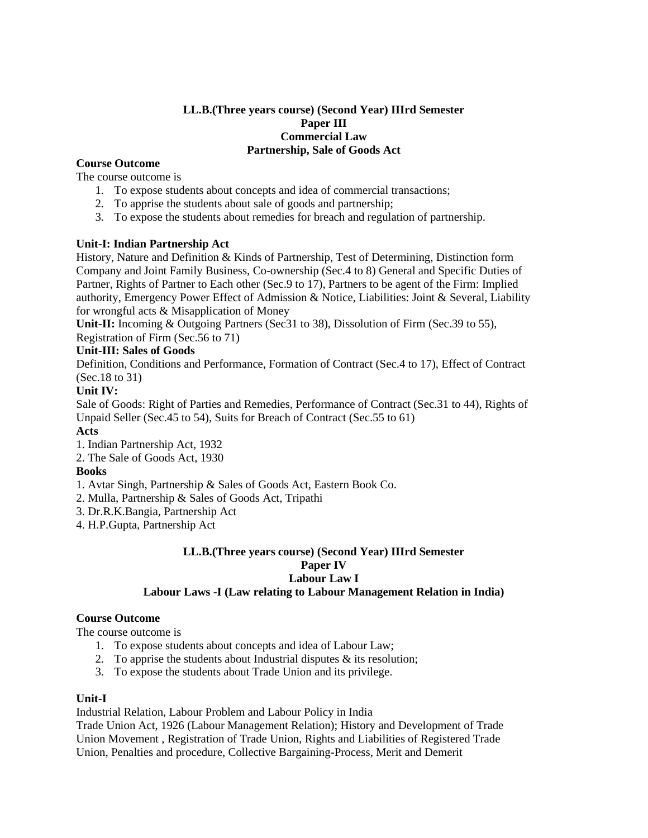#### **LL.B.(Three years course) (Second Year) IIIrd Semester Paper III Commercial Law Partnership, Sale of Goods Act**

# **Course Outcome**

The course outcome is

- 1. To expose students about concepts and idea of commercial transactions;
- 2. To apprise the students about sale of goods and partnership;
- 3. To expose the students about remedies for breach and regulation of partnership.

#### **Unit-I: Indian Partnership Act**

History, Nature and Definition & Kinds of Partnership, Test of Determining, Distinction form Company and Joint Family Business, Co-ownership (Sec.4 to 8) General and Specific Duties of Partner, Rights of Partner to Each other (Sec.9 to 17), Partners to be agent of the Firm: Implied authority, Emergency Power Effect of Admission & Notice, Liabilities: Joint & Several, Liability for wrongful acts & Misapplication of Money

**Unit-II:** Incoming & Outgoing Partners (Sec31 to 38), Dissolution of Firm (Sec.39 to 55), Registration of Firm (Sec.56 to 71)

# **Unit-III: Sales of Goods**

Definition, Conditions and Performance, Formation of Contract (Sec.4 to 17), Effect of Contract (Sec.18 to 31)

#### **Unit IV:**

Sale of Goods: Right of Parties and Remedies, Performance of Contract (Sec.31 to 44), Rights of Unpaid Seller (Sec.45 to 54), Suits for Breach of Contract (Sec.55 to 61)

# **Acts**

1. Indian Partnership Act, 1932

2. The Sale of Goods Act, 1930

#### **Books**

- 1. Avtar Singh, Partnership & Sales of Goods Act, Eastern Book Co.
- 2. Mulla, Partnership & Sales of Goods Act, Tripathi
- 3. Dr.R.K.Bangia, Partnership Act
- 4. H.P.Gupta, Partnership Act

#### **LL.B.(Three years course) (Second Year) IIIrd Semester Paper IV Labour Law I Labour Laws -I (Law relating to Labour Management Relation in India)**

# **Course Outcome**

The course outcome is

- 1. To expose students about concepts and idea of Labour Law;
- 2. To apprise the students about Industrial disputes & its resolution;
- 3. To expose the students about Trade Union and its privilege.

#### **Unit-I**

Industrial Relation, Labour Problem and Labour Policy in India

Trade Union Act, 1926 (Labour Management Relation); History and Development of Trade Union Movement , Registration of Trade Union, Rights and Liabilities of Registered Trade Union, Penalties and procedure, Collective Bargaining-Process, Merit and Demerit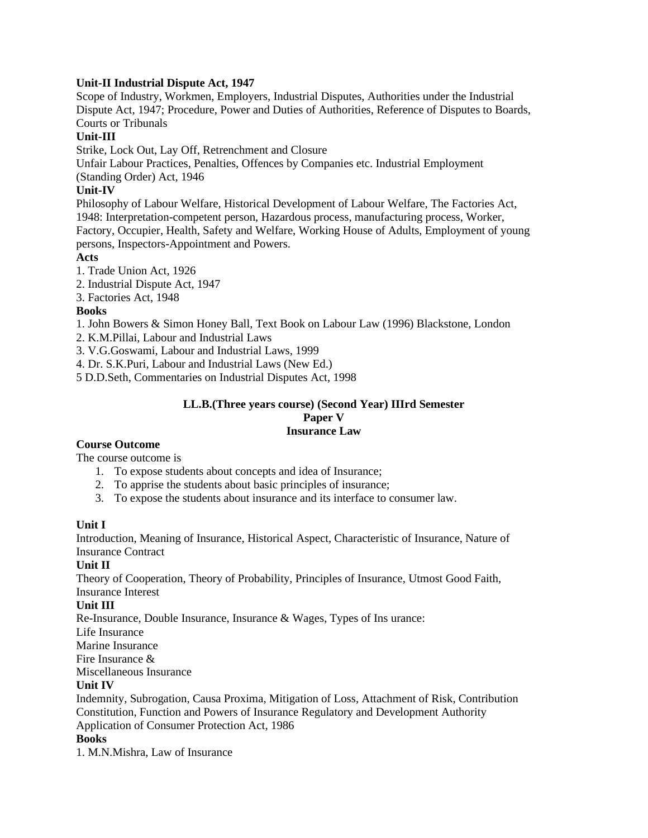#### **Unit-II Industrial Dispute Act, 1947**

Scope of Industry, Workmen, Employers, Industrial Disputes, Authorities under the Industrial Dispute Act, 1947; Procedure, Power and Duties of Authorities, Reference of Disputes to Boards, Courts or Tribunals

# **Unit-III**

Strike, Lock Out, Lay Off, Retrenchment and Closure

Unfair Labour Practices, Penalties, Offences by Companies etc. Industrial Employment

(Standing Order) Act, 1946

# **Unit-IV**

Philosophy of Labour Welfare, Historical Development of Labour Welfare, The Factories Act, 1948: Interpretation-competent person, Hazardous process, manufacturing process, Worker, Factory, Occupier, Health, Safety and Welfare, Working House of Adults, Employment of young persons, Inspectors-Appointment and Powers.

# **Acts**

1. Trade Union Act, 1926

- 2. Industrial Dispute Act, 1947
- 3. Factories Act, 1948

# **Books**

1. John Bowers & Simon Honey Ball, Text Book on Labour Law (1996) Blackstone, London

2. K.M.Pillai, Labour and Industrial Laws

3. V.G.Goswami, Labour and Industrial Laws, 1999

4. Dr. S.K.Puri, Labour and Industrial Laws (New Ed.)

5 D.D.Seth, Commentaries on Industrial Disputes Act, 1998

#### **LL.B.(Three years course) (Second Year) IIIrd Semester Paper V Insurance Law**

# **Course Outcome**

The course outcome is

- 1. To expose students about concepts and idea of Insurance;
- 2. To apprise the students about basic principles of insurance;
- 3. To expose the students about insurance and its interface to consumer law.

# **Unit I**

Introduction, Meaning of Insurance, Historical Aspect, Characteristic of Insurance, Nature of Insurance Contract

# **Unit II**

Theory of Cooperation, Theory of Probability, Principles of Insurance, Utmost Good Faith, Insurance Interest

# **Unit III**

Re-Insurance, Double Insurance, Insurance & Wages, Types of Ins urance:

Life Insurance

Marine Insurance

Fire Insurance &

Miscellaneous Insurance

#### **Unit IV**

Indemnity, Subrogation, Causa Proxima, Mitigation of Loss, Attachment of Risk, Contribution Constitution, Function and Powers of Insurance Regulatory and Development Authority Application of Consumer Protection Act, 1986

**Books**

1. M.N.Mishra, Law of Insurance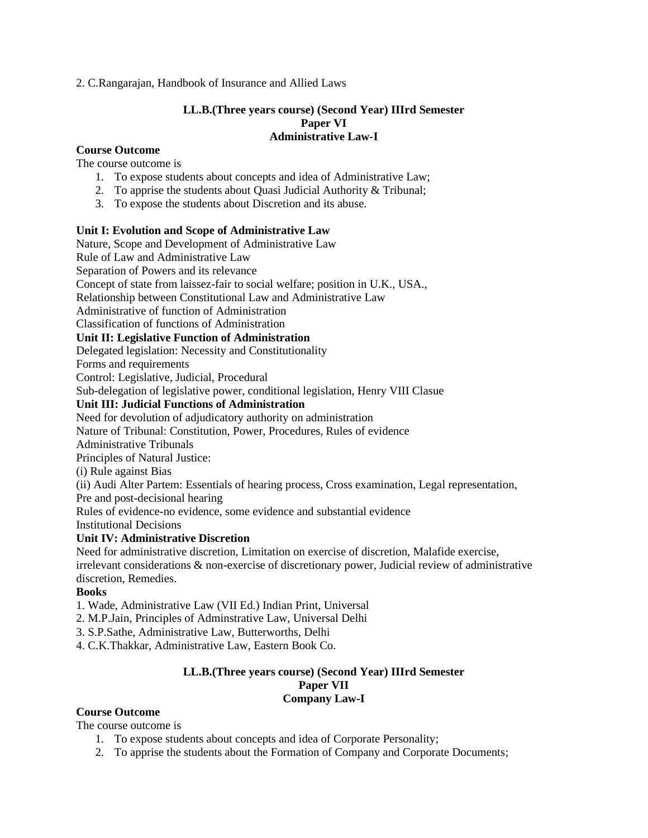2. C.Rangarajan, Handbook of Insurance and Allied Laws

# **LL.B.(Three years course) (Second Year) IIIrd Semester Paper VI Administrative Law-I**

#### **Course Outcome**

The course outcome is

- 1. To expose students about concepts and idea of Administrative Law;
- 2. To apprise the students about Quasi Judicial Authority & Tribunal;
- 3. To expose the students about Discretion and its abuse.

#### **Unit I: Evolution and Scope of Administrative Law**

Nature, Scope and Development of Administrative Law Rule of Law and Administrative Law Separation of Powers and its relevance Concept of state from laissez-fair to social welfare; position in U.K., USA., Relationship between Constitutional Law and Administrative Law Administrative of function of Administration Classification of functions of Administration **Unit II: Legislative Function of Administration** Delegated legislation: Necessity and Constitutionality Forms and requirements Control: Legislative, Judicial, Procedural Sub-delegation of legislative power, conditional legislation, Henry VIII Clasue **Unit III: Judicial Functions of Administration** Need for devolution of adjudicatory authority on administration Nature of Tribunal: Constitution, Power, Procedures, Rules of evidence Administrative Tribunals Principles of Natural Justice: (i) Rule against Bias (ii) Audi Alter Partem: Essentials of hearing process, Cross examination, Legal representation, Pre and post-decisional hearing Rules of evidence-no evidence, some evidence and substantial evidence Institutional Decisions **Unit IV: Administrative Discretion**

Need for administrative discretion, Limitation on exercise of discretion, Malafide exercise, irrelevant considerations & non-exercise of discretionary power, Judicial review of administrative discretion, Remedies.

#### **Books**

- 1. Wade, Administrative Law (VII Ed.) Indian Print, Universal
- 2. M.P.Jain, Principles of Adminstrative Law, Universal Delhi
- 3. S.P.Sathe, Administrative Law, Butterworths, Delhi

4. C.K.Thakkar, Administrative Law, Eastern Book Co.

#### **LL.B.(Three years course) (Second Year) IIIrd Semester Paper VII Company Law-I**

#### **Course Outcome**

The course outcome is

- 1. To expose students about concepts and idea of Corporate Personality;
- 2. To apprise the students about the Formation of Company and Corporate Documents;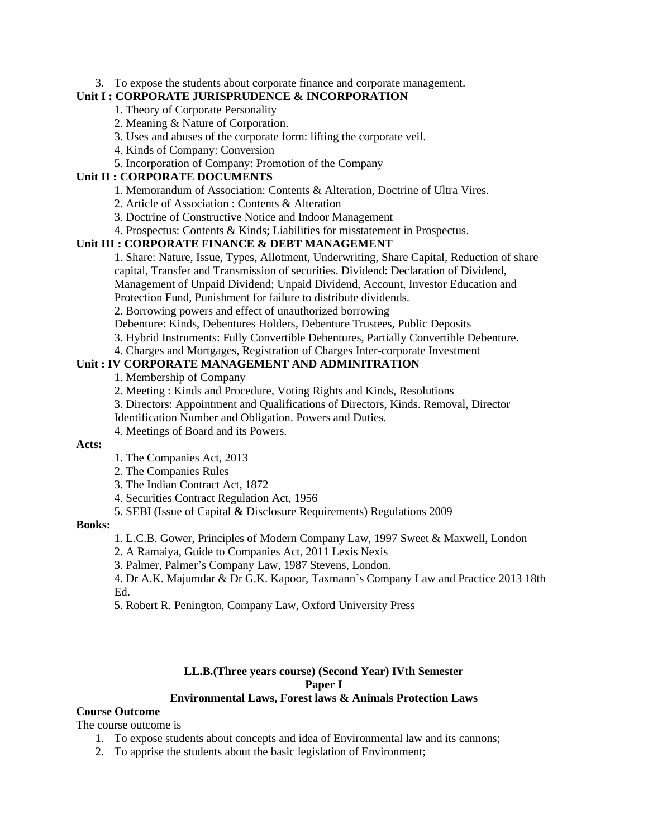#### 3. To expose the students about corporate finance and corporate management.

#### **Unit I : CORPORATE JURISPRUDENCE & INCORPORATION**

## 1. Theory of Corporate Personality

- 2. Meaning & Nature of Corporation.
- 3. Uses and abuses of the corporate form: lifting the corporate veil.
- 4. Kinds of Company: Conversion
- 5. Incorporation of Company: Promotion of the Company

# **Unit II : CORPORATE DOCUMENTS**

- 1. Memorandum of Association: Contents & Alteration, Doctrine of Ultra Vires.
- 2. Article of Association : Contents & Alteration
- 3. Doctrine of Constructive Notice and Indoor Management
- 4. Prospectus: Contents & Kinds; Liabilities for misstatement in Prospectus.

#### **Unit III : CORPORATE FINANCE & DEBT MANAGEMENT**

1. Share: Nature, Issue, Types, Allotment, Underwriting, Share Capital, Reduction of share capital, Transfer and Transmission of securities. Dividend: Declaration of Dividend, Management of Unpaid Dividend; Unpaid Dividend, Account, Investor Education and

Protection Fund, Punishment for failure to distribute dividends.

2. Borrowing powers and effect of unauthorized borrowing

Debenture: Kinds, Debentures Holders, Debenture Trustees, Public Deposits

- 3. Hybrid Instruments: Fully Convertible Debentures, Partially Convertible Debenture.
- 4. Charges and Mortgages, Registration of Charges Inter-corporate Investment

## **Unit : IV CORPORATE MANAGEMENT AND ADMINITRATION**

1. Membership of Company

2. Meeting : Kinds and Procedure, Voting Rights and Kinds, Resolutions

- 3. Directors: Appointment and Qualifications of Directors, Kinds. Removal, Director
- Identification Number and Obligation. Powers and Duties.
- 4. Meetings of Board and its Powers.

#### **Acts:**

- 1. The Companies Act, 2013
- 2. The Companies Rules
- 3. The Indian Contract Act, 1872
- 4. Securities Contract Regulation Act, 1956
- 5. SEBI (Issue of Capital **&** Disclosure Requirements) Regulations 2009

#### **Books:**

1. L.C.B. Gower, Principles of Modern Company Law, 1997 Sweet & Maxwell, London

2. A Ramaiya, Guide to Companies Act, 2011 Lexis Nexis

3. Palmer, Palmer's Company Law, 1987 Stevens, London.

4. Dr A.K. Majumdar & Dr G.K. Kapoor, Taxmann's Company Law and Practice 2013 18th Ed.

5. Robert R. Penington, Company Law, Oxford University Press

#### **LL.B.(Three years course) (Second Year) IVth Semester Paper I Environmental Laws, Forest laws & Animals Protection Laws**

#### **Course Outcome**

The course outcome is

- 1. To expose students about concepts and idea of Environmental law and its cannons;
- 2. To apprise the students about the basic legislation of Environment;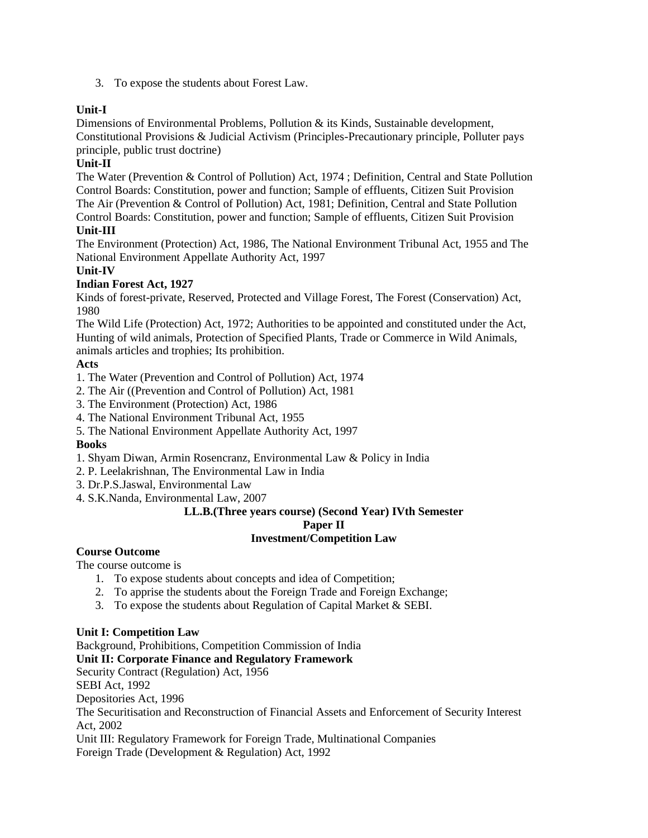3. To expose the students about Forest Law.

# **Unit-I**

Dimensions of Environmental Problems, Pollution & its Kinds, Sustainable development, Constitutional Provisions & Judicial Activism (Principles-Precautionary principle, Polluter pays principle, public trust doctrine)

# **Unit-II**

The Water (Prevention & Control of Pollution) Act, 1974 ; Definition, Central and State Pollution Control Boards: Constitution, power and function; Sample of effluents, Citizen Suit Provision The Air (Prevention & Control of Pollution) Act, 1981; Definition, Central and State Pollution Control Boards: Constitution, power and function; Sample of effluents, Citizen Suit Provision **Unit-III**

The Environment (Protection) Act, 1986, The National Environment Tribunal Act, 1955 and The National Environment Appellate Authority Act, 1997

# **Unit-IV**

# **Indian Forest Act, 1927**

Kinds of forest-private, Reserved, Protected and Village Forest, The Forest (Conservation) Act, 1980

The Wild Life (Protection) Act, 1972; Authorities to be appointed and constituted under the Act, Hunting of wild animals, Protection of Specified Plants, Trade or Commerce in Wild Animals, animals articles and trophies; Its prohibition.

# **Acts**

1. The Water (Prevention and Control of Pollution) Act, 1974

- 2. The Air ((Prevention and Control of Pollution) Act, 1981
- 3. The Environment (Protection) Act, 1986

4. The National Environment Tribunal Act, 1955

5. The National Environment Appellate Authority Act, 1997

#### **Books**

1. Shyam Diwan, Armin Rosencranz, Environmental Law & Policy in India

- 2. P. Leelakrishnan, The Environmental Law in India
- 3. Dr.P.S.Jaswal, Environmental Law
- 4. S.K.Nanda, Environmental Law, 2007

# **LL.B.(Three years course) (Second Year) IVth Semester Paper II**

# **Investment/Competition Law**

# **Course Outcome**

The course outcome is

- 1. To expose students about concepts and idea of Competition;
- 2. To apprise the students about the Foreign Trade and Foreign Exchange;
- 3. To expose the students about Regulation of Capital Market & SEBI.

# **Unit I: Competition Law**

Background, Prohibitions, Competition Commission of India **Unit II: Corporate Finance and Regulatory Framework** Security Contract (Regulation) Act, 1956 SEBI Act, 1992 Depositories Act, 1996 The Securitisation and Reconstruction of Financial Assets and Enforcement of Security Interest Act, 2002 Unit III: Regulatory Framework for Foreign Trade, Multinational Companies Foreign Trade (Development & Regulation) Act, 1992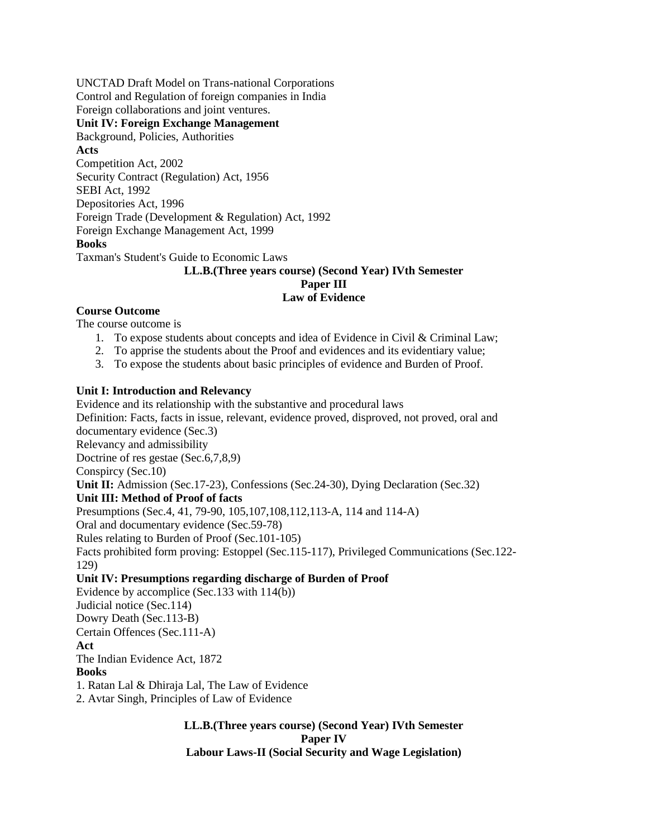UNCTAD Draft Model on Trans-national Corporations Control and Regulation of foreign companies in India Foreign collaborations and joint ventures.

**Unit IV: Foreign Exchange Management**

Background, Policies, Authorities **Acts** Competition Act, 2002 Security Contract (Regulation) Act, 1956 SEBI Act, 1992 Depositories Act, 1996 Foreign Trade (Development & Regulation) Act, 1992 Foreign Exchange Management Act, 1999 **Books** Taxman's Student's Guide to Economic Laws

#### **LL.B.(Three years course) (Second Year) IVth Semester Paper III Law of Evidence**

# **Course Outcome**

The course outcome is

- 1. To expose students about concepts and idea of Evidence in Civil & Criminal Law;
- 2. To apprise the students about the Proof and evidences and its evidentiary value;
- 3. To expose the students about basic principles of evidence and Burden of Proof.

# **Unit I: Introduction and Relevancy**

Evidence and its relationship with the substantive and procedural laws Definition: Facts, facts in issue, relevant, evidence proved, disproved, not proved, oral and documentary evidence (Sec.3) Relevancy and admissibility Doctrine of res gestae (Sec.6,7,8,9) Conspircy (Sec.10) **Unit II:** Admission (Sec.17-23), Confessions (Sec.24-30), Dying Declaration (Sec.32) **Unit III: Method of Proof of facts** Presumptions (Sec.4, 41, 79-90, 105,107,108,112,113-A, 114 and 114-A) Oral and documentary evidence (Sec.59-78) Rules relating to Burden of Proof (Sec.101-105) Facts prohibited form proving: Estoppel (Sec.115-117), Privileged Communications (Sec.122- 129) **Unit IV: Presumptions regarding discharge of Burden of Proof** Evidence by accomplice (Sec.133 with 114(b)) Judicial notice (Sec.114)

Dowry Death (Sec.113-B)

Certain Offences (Sec.111-A)

#### **Act**

The Indian Evidence Act, 1872

# **Books**

1. Ratan Lal & Dhiraja Lal, The Law of Evidence

2. Avtar Singh, Principles of Law of Evidence

**LL.B.(Three years course) (Second Year) IVth Semester Paper IV Labour Laws-II (Social Security and Wage Legislation)**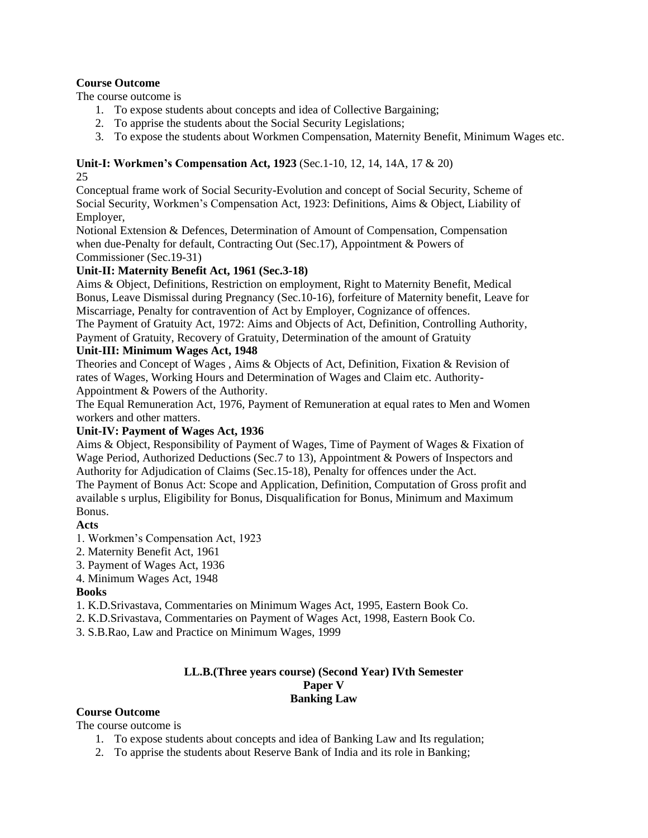# **Course Outcome**

The course outcome is

- 1. To expose students about concepts and idea of Collective Bargaining;
- 2. To apprise the students about the Social Security Legislations;
- 3. To expose the students about Workmen Compensation, Maternity Benefit, Minimum Wages etc.

# **Unit-I: Workmen's Compensation Act, 1923** (Sec.1-10, 12, 14, 14A, 17 & 20)

25

Conceptual frame work of Social Security-Evolution and concept of Social Security, Scheme of Social Security, Workmen's Compensation Act, 1923: Definitions, Aims & Object, Liability of Employer,

Notional Extension & Defences, Determination of Amount of Compensation, Compensation when due-Penalty for default, Contracting Out (Sec.17), Appointment & Powers of Commissioner (Sec.19-31)

# **Unit-II: Maternity Benefit Act, 1961 (Sec.3-18)**

Aims & Object, Definitions, Restriction on employment, Right to Maternity Benefit, Medical Bonus, Leave Dismissal during Pregnancy (Sec.10-16), forfeiture of Maternity benefit, Leave for Miscarriage, Penalty for contravention of Act by Employer, Cognizance of offences.

The Payment of Gratuity Act, 1972: Aims and Objects of Act, Definition, Controlling Authority, Payment of Gratuity, Recovery of Gratuity, Determination of the amount of Gratuity

# **Unit-III: Minimum Wages Act, 1948**

Theories and Concept of Wages , Aims & Objects of Act, Definition, Fixation & Revision of rates of Wages, Working Hours and Determination of Wages and Claim etc. Authority-Appointment & Powers of the Authority.

The Equal Remuneration Act, 1976, Payment of Remuneration at equal rates to Men and Women workers and other matters.

# **Unit-IV: Payment of Wages Act, 1936**

Aims & Object, Responsibility of Payment of Wages, Time of Payment of Wages & Fixation of Wage Period, Authorized Deductions (Sec.7 to 13), Appointment & Powers of Inspectors and Authority for Adjudication of Claims (Sec.15-18), Penalty for offences under the Act. The Payment of Bonus Act: Scope and Application, Definition, Computation of Gross profit and available s urplus, Eligibility for Bonus, Disqualification for Bonus, Minimum and Maximum Bonus.

# **Acts**

- 1. Workmen's Compensation Act, 1923
- 2. Maternity Benefit Act, 1961
- 3. Payment of Wages Act, 1936
- 4. Minimum Wages Act, 1948

# **Books**

- 1. K.D.Srivastava, Commentaries on Minimum Wages Act, 1995, Eastern Book Co.
- 2. K.D.Srivastava, Commentaries on Payment of Wages Act, 1998, Eastern Book Co.
- 3. S.B.Rao, Law and Practice on Minimum Wages, 1999

#### **LL.B.(Three years course) (Second Year) IVth Semester Paper V Banking Law**

# **Course Outcome**

The course outcome is

- 1. To expose students about concepts and idea of Banking Law and Its regulation;
- 2. To apprise the students about Reserve Bank of India and its role in Banking;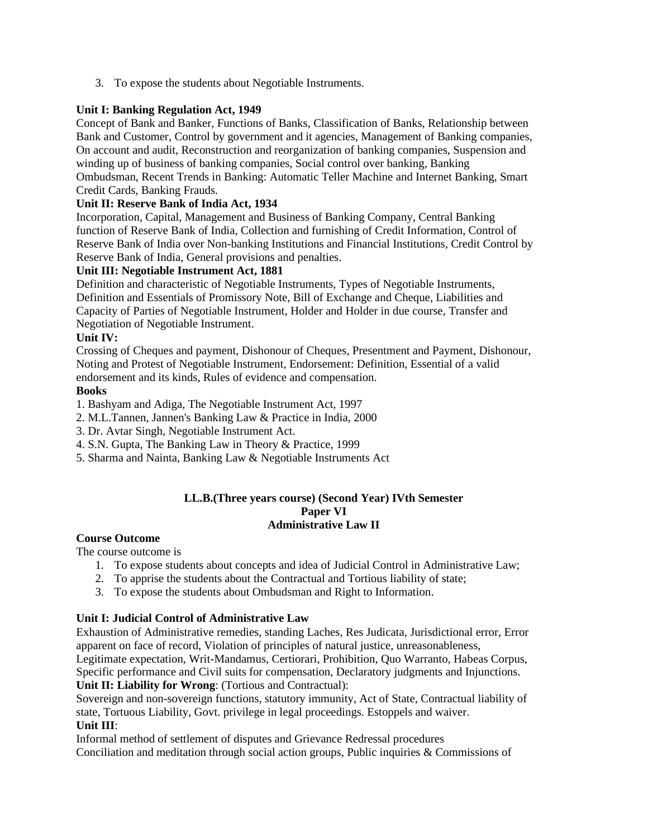3. To expose the students about Negotiable Instruments.

# **Unit I: Banking Regulation Act, 1949**

Concept of Bank and Banker, Functions of Banks, Classification of Banks, Relationship between Bank and Customer, Control by government and it agencies, Management of Banking companies, On account and audit, Reconstruction and reorganization of banking companies, Suspension and winding up of business of banking companies, Social control over banking, Banking Ombudsman, Recent Trends in Banking: Automatic Teller Machine and Internet Banking, Smart Credit Cards, Banking Frauds.

## **Unit II: Reserve Bank of India Act, 1934**

Incorporation, Capital, Management and Business of Banking Company, Central Banking function of Reserve Bank of India, Collection and furnishing of Credit Information, Control of Reserve Bank of India over Non-banking Institutions and Financial Institutions, Credit Control by Reserve Bank of India, General provisions and penalties.

#### **Unit III: Negotiable Instrument Act, 1881**

Definition and characteristic of Negotiable Instruments, Types of Negotiable Instruments, Definition and Essentials of Promissory Note, Bill of Exchange and Cheque, Liabilities and Capacity of Parties of Negotiable Instrument, Holder and Holder in due course, Transfer and Negotiation of Negotiable Instrument.

# **Unit IV:**

Crossing of Cheques and payment, Dishonour of Cheques, Presentment and Payment, Dishonour, Noting and Protest of Negotiable Instrument, Endorsement: Definition, Essential of a valid endorsement and its kinds, Rules of evidence and compensation.

#### **Books**

1. Bashyam and Adiga, The Negotiable Instrument Act, 1997

- 2. M.L.Tannen, Jannen's Banking Law & Practice in India, 2000
- 3. Dr. Avtar Singh, Negotiable Instrument Act.
- 4. S.N. Gupta, The Banking Law in Theory & Practice, 1999
- 5. Sharma and Nainta, Banking Law & Negotiable Instruments Act

#### **LL.B.(Three years course) (Second Year) IVth Semester Paper VI Administrative Law II**

#### **Course Outcome**

The course outcome is

- 1. To expose students about concepts and idea of Judicial Control in Administrative Law;
- 2. To apprise the students about the Contractual and Tortious liability of state;
- 3. To expose the students about Ombudsman and Right to Information.

#### **Unit I: Judicial Control of Administrative Law**

Exhaustion of Administrative remedies, standing Laches, Res Judicata, Jurisdictional error, Error apparent on face of record, Violation of principles of natural justice, unreasonableness,

Legitimate expectation, Writ-Mandamus, Certiorari, Prohibition, Quo Warranto, Habeas Corpus, Specific performance and Civil suits for compensation, Declaratory judgments and Injunctions. **Unit II: Liability for Wrong**: (Tortious and Contractual):

Sovereign and non-sovereign functions, statutory immunity, Act of State, Contractual liability of state, Tortuous Liability, Govt. privilege in legal proceedings. Estoppels and waiver. **Unit III**:

Informal method of settlement of disputes and Grievance Redressal procedures Conciliation and meditation through social action groups, Public inquiries & Commissions of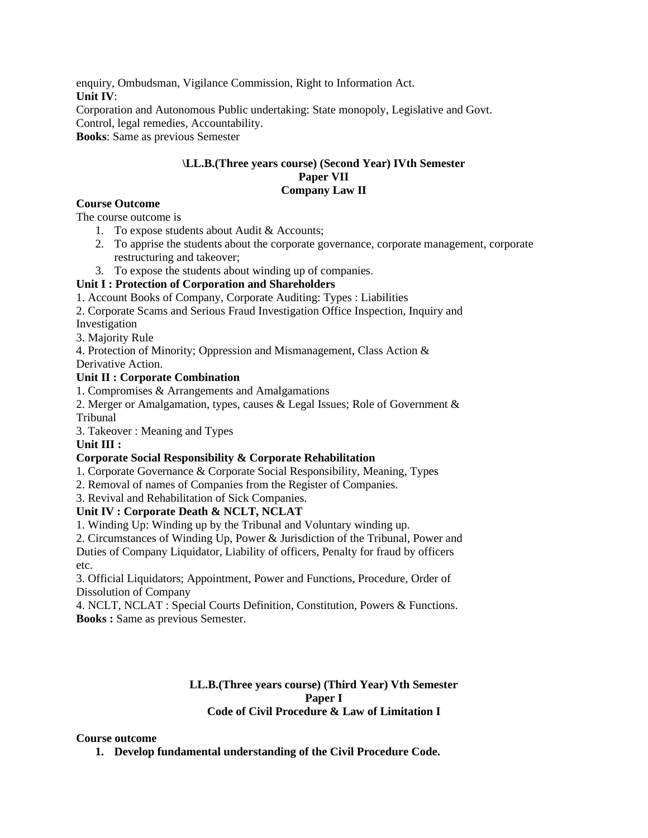enquiry, Ombudsman, Vigilance Commission, Right to Information Act. **Unit IV**: Corporation and Autonomous Public undertaking: State monopoly, Legislative and Govt. Control, legal remedies, Accountability. **Books**: Same as previous Semester

#### **\LL.B.(Three years course) (Second Year) IVth Semester Paper VII Company Law II**

#### **Course Outcome**

The course outcome is

- 1. To expose students about Audit & Accounts;
- 2. To apprise the students about the corporate governance, corporate management, corporate restructuring and takeover;
- 3. To expose the students about winding up of companies.

#### **Unit I : Protection of Corporation and Shareholders**

1. Account Books of Company, Corporate Auditing: Types : Liabilities

2. Corporate Scams and Serious Fraud Investigation Office Inspection, Inquiry and

Investigation

3. Majority Rule

4. Protection of Minority; Oppression and Mismanagement, Class Action & Derivative Action.

#### **Unit II : Corporate Combination**

1. Compromises & Arrangements and Amalgamations

2. Merger or Amalgamation, types, causes & Legal Issues; Role of Government & Tribunal

3. Takeover : Meaning and Types

#### **Unit III :**

#### **Corporate Social Responsibility & Corporate Rehabilitation**

1. Corporate Governance & Corporate Social Responsibility, Meaning, Types

2. Removal of names of Companies from the Register of Companies.

3. Revival and Rehabilitation of Sick Companies.

#### **Unit IV : Corporate Death & NCLT, NCLAT**

1. Winding Up: Winding up by the Tribunal and Voluntary winding up.

2. Circumstances of Winding Up, Power & Jurisdiction of the Tribunal, Power and Duties of Company Liquidator, Liability of officers, Penalty for fraud by officers etc.

3. Official Liquidators; Appointment, Power and Functions, Procedure, Order of Dissolution of Company

4. NCLT, NCLAT : Special Courts Definition, Constitution, Powers & Functions. **Books :** Same as previous Semester.

#### **LL.B.(Three years course) (Third Year) Vth Semester Paper I Code of Civil Procedure & Law of Limitation I**

#### **Course outcome**

**1. Develop fundamental understanding of the Civil Procedure Code.**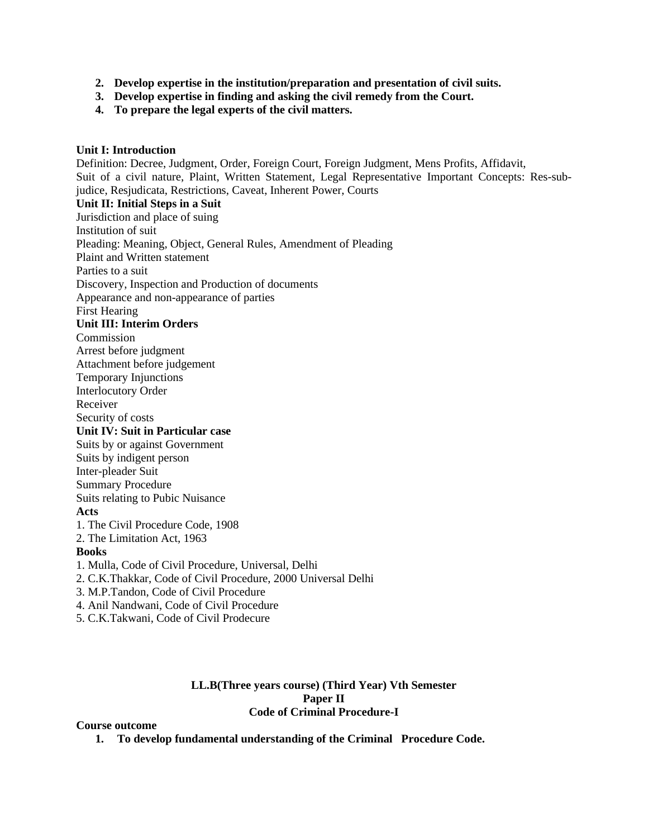- **2. Develop expertise in the institution/preparation and presentation of civil suits.**
- **3. Develop expertise in finding and asking the civil remedy from the Court.**
- **4. To prepare the legal experts of the civil matters.**

#### **Unit I: Introduction**

Definition: Decree, Judgment, Order, Foreign Court, Foreign Judgment, Mens Profits, Affidavit, Suit of a civil nature, Plaint, Written Statement, Legal Representative Important Concepts: Res-subjudice, Resjudicata, Restrictions, Caveat, Inherent Power, Courts **Unit II: Initial Steps in a Suit** Jurisdiction and place of suing Institution of suit Pleading: Meaning, Object, General Rules, Amendment of Pleading Plaint and Written statement Parties to a suit Discovery, Inspection and Production of documents Appearance and non-appearance of parties First Hearing **Unit III: Interim Orders** Commission Arrest before judgment Attachment before judgement Temporary Injunctions Interlocutory Order Receiver Security of costs **Unit IV: Suit in Particular case** Suits by or against Government Suits by indigent person Inter-pleader Suit Summary Procedure Suits relating to Pubic Nuisance **Acts** 1. The Civil Procedure Code, 1908 2. The Limitation Act, 1963 **Books** 1. Mulla, Code of Civil Procedure, Universal, Delhi 2. C.K.Thakkar, Code of Civil Procedure, 2000 Universal Delhi 3. M.P.Tandon, Code of Civil Procedure 4. Anil Nandwani, Code of Civil Procedure 5. C.K.Takwani, Code of Civil Prodecure

## **LL.B(Three years course) (Third Year) Vth Semester Paper II Code of Criminal Procedure-I**

#### **Course outcome**

**1. To develop fundamental understanding of the Criminal Procedure Code.**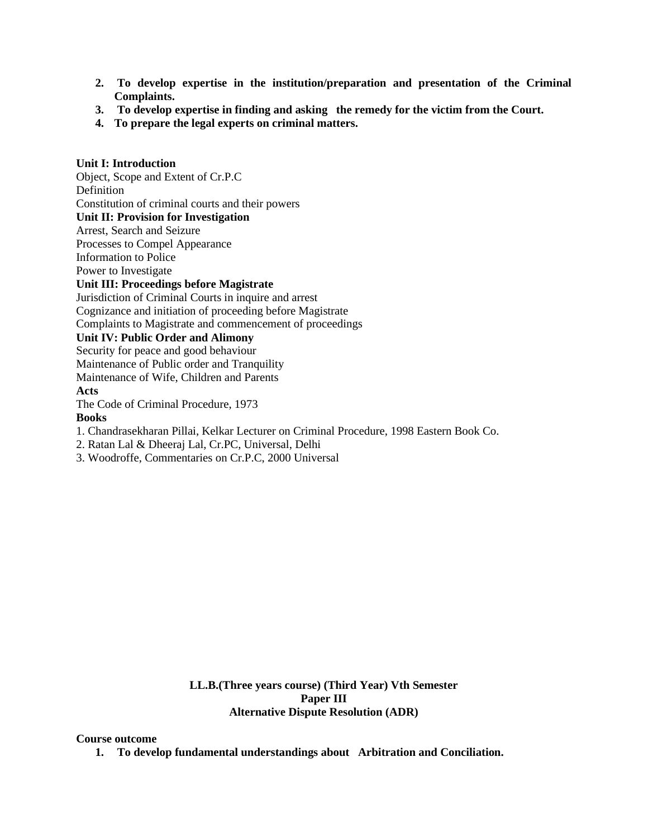- **2. To develop expertise in the institution/preparation and presentation of the Criminal Complaints.**
- **3. To develop expertise in finding and asking the remedy for the victim from the Court.**
- **4. To prepare the legal experts on criminal matters.**

# **Unit I: Introduction**

Object, Scope and Extent of Cr.P.C Definition Constitution of criminal courts and their powers **Unit II: Provision for Investigation** Arrest, Search and Seizure Processes to Compel Appearance Information to Police Power to Investigate **Unit III: Proceedings before Magistrate** Jurisdiction of Criminal Courts in inquire and arrest Cognizance and initiation of proceeding before Magistrate Complaints to Magistrate and commencement of proceedings **Unit IV: Public Order and Alimony** Security for peace and good behaviour Maintenance of Public order and Tranquility Maintenance of Wife, Children and Parents **Acts** The Code of Criminal Procedure, 1973

#### **Books**

- 1. Chandrasekharan Pillai, Kelkar Lecturer on Criminal Procedure, 1998 Eastern Book Co.
- 2. Ratan Lal & Dheeraj Lal, Cr.PC, Universal, Delhi
- 3. Woodroffe, Commentaries on Cr.P.C, 2000 Universal

**LL.B.(Three years course) (Third Year) Vth Semester Paper III Alternative Dispute Resolution (ADR)**

#### **Course outcome**

**1. To develop fundamental understandings about Arbitration and Conciliation.**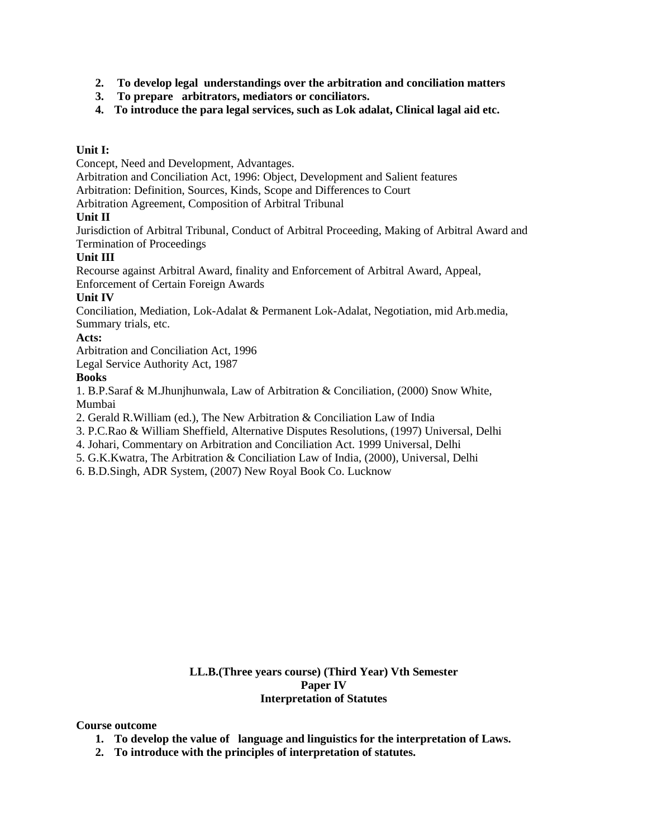- **2. To develop legal understandings over the arbitration and conciliation matters**
- **3. To prepare arbitrators, mediators or conciliators.**
- **4. To introduce the para legal services, such as Lok adalat, Clinical lagal aid etc.**

# **Unit I:**

Concept, Need and Development, Advantages.

Arbitration and Conciliation Act, 1996: Object, Development and Salient features

Arbitration: Definition, Sources, Kinds, Scope and Differences to Court

Arbitration Agreement, Composition of Arbitral Tribunal

# **Unit II**

Jurisdiction of Arbitral Tribunal, Conduct of Arbitral Proceeding, Making of Arbitral Award and Termination of Proceedings

# **Unit III**

Recourse against Arbitral Award, finality and Enforcement of Arbitral Award, Appeal, Enforcement of Certain Foreign Awards

# **Unit IV**

Conciliation, Mediation, Lok-Adalat & Permanent Lok-Adalat, Negotiation, mid Arb.media, Summary trials, etc.

# **Acts:**

Arbitration and Conciliation Act, 1996

Legal Service Authority Act, 1987

# **Books**

1. B.P.Saraf & M.Jhunjhunwala, Law of Arbitration & Conciliation, (2000) Snow White, Mumbai

2. Gerald R.William (ed.), The New Arbitration & Conciliation Law of India

3. P.C.Rao & William Sheffield, Alternative Disputes Resolutions, (1997) Universal, Delhi

4. Johari, Commentary on Arbitration and Conciliation Act. 1999 Universal, Delhi

5. G.K.Kwatra, The Arbitration & Conciliation Law of India, (2000), Universal, Delhi

6. B.D.Singh, ADR System, (2007) New Royal Book Co. Lucknow

# **LL.B.(Three years course) (Third Year) Vth Semester Paper IV Interpretation of Statutes**

#### **Course outcome**

- **1. To develop the value of language and linguistics for the interpretation of Laws.**
- **2. To introduce with the principles of interpretation of statutes.**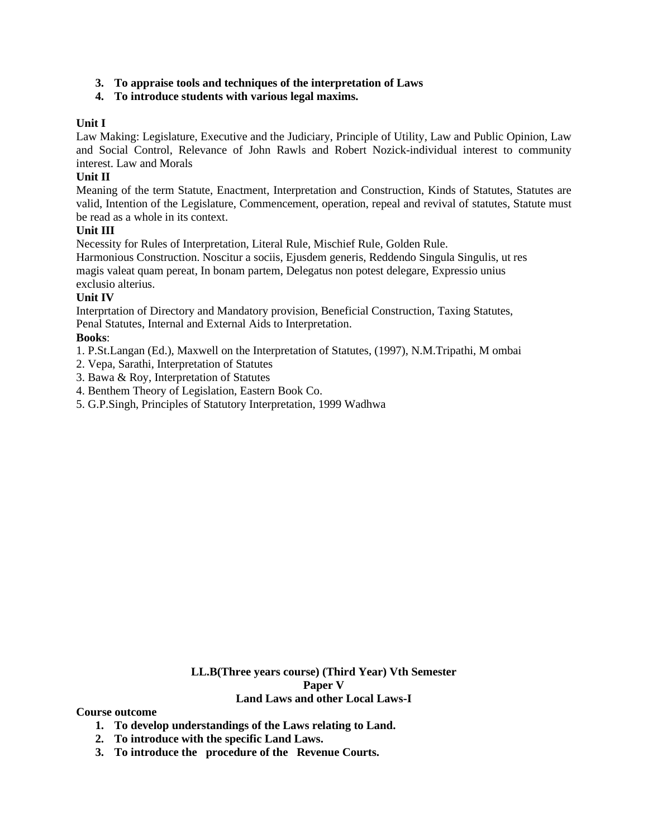## **3. To appraise tools and techniques of the interpretation of Laws**

# **4. To introduce students with various legal maxims.**

#### **Unit I**

Law Making: Legislature, Executive and the Judiciary, Principle of Utility, Law and Public Opinion, Law and Social Control, Relevance of John Rawls and Robert Nozick-individual interest to community interest. Law and Morals

# **Unit II**

Meaning of the term Statute, Enactment, Interpretation and Construction, Kinds of Statutes, Statutes are valid, Intention of the Legislature, Commencement, operation, repeal and revival of statutes, Statute must be read as a whole in its context.

#### **Unit III**

Necessity for Rules of Interpretation, Literal Rule, Mischief Rule, Golden Rule.

Harmonious Construction. Noscitur a sociis, Ejusdem generis, Reddendo Singula Singulis, ut res magis valeat quam pereat, In bonam partem, Delegatus non potest delegare, Expressio unius exclusio alterius.

# **Unit IV**

Interprtation of Directory and Mandatory provision, Beneficial Construction, Taxing Statutes, Penal Statutes, Internal and External Aids to Interpretation.

# **Books**:

- 1. P.St.Langan (Ed.), Maxwell on the Interpretation of Statutes, (1997), N.M.Tripathi, M ombai
- 2. Vepa, Sarathi, Interpretation of Statutes
- 3. Bawa & Roy, Interpretation of Statutes
- 4. Benthem Theory of Legislation, Eastern Book Co.
- 5. G.P.Singh, Principles of Statutory Interpretation, 1999 Wadhwa

**LL.B(Three years course) (Third Year) Vth Semester Paper V Land Laws and other Local Laws-I**

**Course outcome**

- **1. To develop understandings of the Laws relating to Land.**
- **2. To introduce with the specific Land Laws.**
- **3. To introduce the procedure of the Revenue Courts.**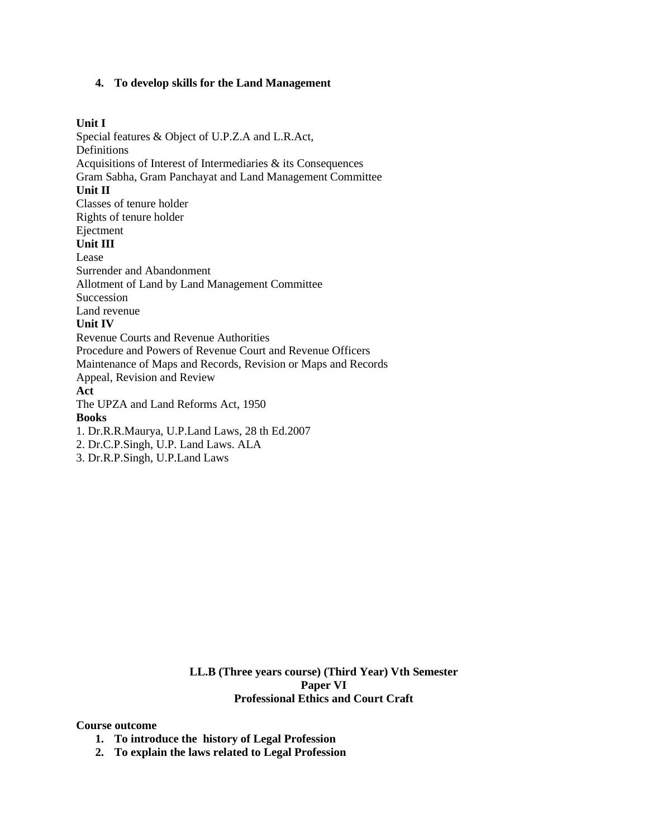#### **4. To develop skills for the Land Management**

#### **Unit I**

Special features & Object of U.P.Z.A and L.R.Act, Definitions Acquisitions of Interest of Intermediaries & its Consequences Gram Sabha, Gram Panchayat and Land Management Committee **Unit II** Classes of tenure holder Rights of tenure holder Ejectment **Unit III** Lease Surrender and Abandonment Allotment of Land by Land Management Committee Succession Land revenue **Unit IV** Revenue Courts and Revenue Authorities Procedure and Powers of Revenue Court and Revenue Officers Maintenance of Maps and Records, Revision or Maps and Records Appeal, Revision and Review **Act** The UPZA and Land Reforms Act, 1950 **Books** 1. Dr.R.R.Maurya, U.P.Land Laws, 28 th Ed.2007 2. Dr.C.P.Singh, U.P. Land Laws. ALA 3. Dr.R.P.Singh, U.P.Land Laws

> **LL.B (Three years course) (Third Year) Vth Semester Paper VI Professional Ethics and Court Craft**

#### **Course outcome**

- **1. To introduce the history of Legal Profession**
- **2. To explain the laws related to Legal Profession**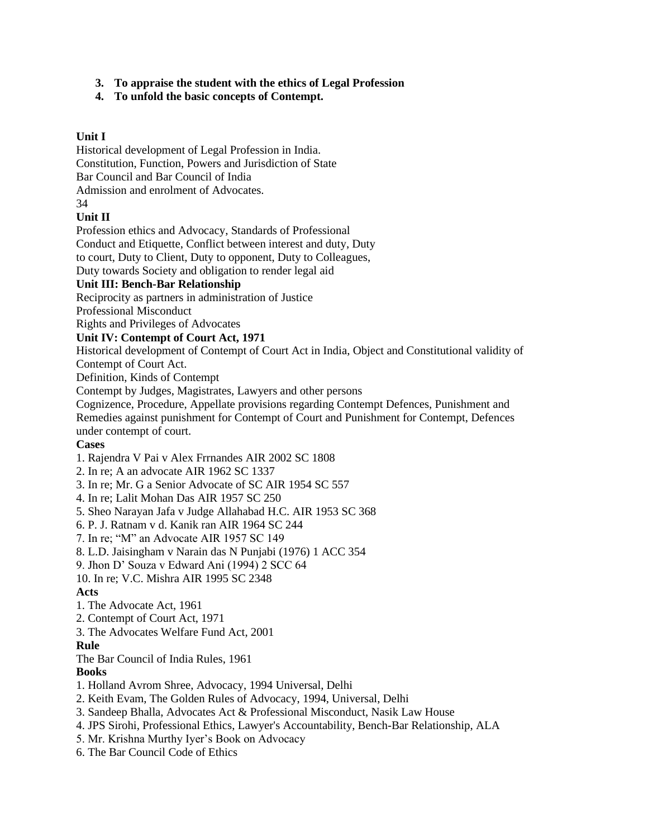# **3. To appraise the student with the ethics of Legal Profession**

# **4. To unfold the basic concepts of Contempt.**

# **Unit I**

Historical development of Legal Profession in India. Constitution, Function, Powers and Jurisdiction of State Bar Council and Bar Council of India Admission and enrolment of Advocates. 34

# **Unit II**

Profession ethics and Advocacy, Standards of Professional

Conduct and Etiquette, Conflict between interest and duty, Duty

to court, Duty to Client, Duty to opponent, Duty to Colleagues,

Duty towards Society and obligation to render legal aid

# **Unit III: Bench-Bar Relationship**

Reciprocity as partners in administration of Justice

Professional Misconduct

Rights and Privileges of Advocates

# **Unit IV: Contempt of Court Act, 1971**

Historical development of Contempt of Court Act in India, Object and Constitutional validity of Contempt of Court Act.

Definition, Kinds of Contempt

Contempt by Judges, Magistrates, Lawyers and other persons

Cognizence, Procedure, Appellate provisions regarding Contempt Defences, Punishment and Remedies against punishment for Contempt of Court and Punishment for Contempt, Defences under contempt of court.

#### **Cases**

1. Rajendra V Pai v Alex Frrnandes AIR 2002 SC 1808

2. In re; A an advocate AIR 1962 SC 1337

3. In re; Mr. G a Senior Advocate of SC AIR 1954 SC 557

4. In re; Lalit Mohan Das AIR 1957 SC 250

5. Sheo Narayan Jafa v Judge Allahabad H.C. AIR 1953 SC 368

6. P. J. Ratnam v d. Kanik ran AIR 1964 SC 244

7. In re; "M" an Advocate AIR 1957 SC 149

8. L.D. Jaisingham v Narain das N Punjabi (1976) 1 ACC 354

9. Jhon D' Souza v Edward Ani (1994) 2 SCC 64

10. In re; V.C. Mishra AIR 1995 SC 2348

**Acts**

- 1. The Advocate Act, 1961
- 2. Contempt of Court Act, 1971
- 3. The Advocates Welfare Fund Act, 2001

#### **Rule**

The Bar Council of India Rules, 1961

# **Books**

1. Holland Avrom Shree, Advocacy, 1994 Universal, Delhi

- 2. Keith Evam, The Golden Rules of Advocacy, 1994, Universal, Delhi
- 3. Sandeep Bhalla, Advocates Act & Professional Misconduct, Nasik Law House
- 4. JPS Sirohi, Professional Ethics, Lawyer's Accountability, Bench-Bar Relationship, ALA
- 5. Mr. Krishna Murthy Iyer's Book on Advocacy
- 6. The Bar Council Code of Ethics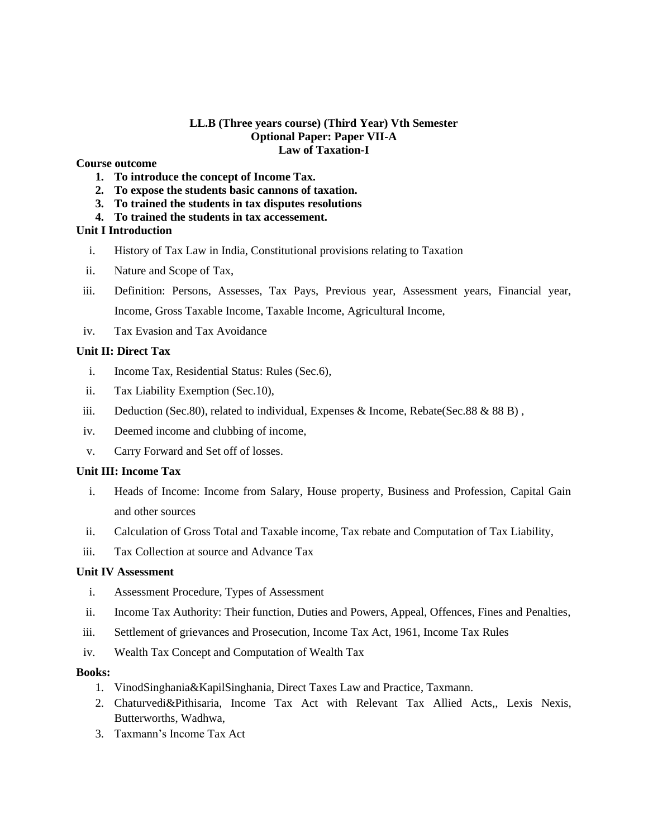#### **LL.B (Three years course) (Third Year) Vth Semester Optional Paper: Paper VII-A Law of Taxation-I**

# **Course outcome**

- **1. To introduce the concept of Income Tax.**
- **2. To expose the students basic cannons of taxation.**
- **3. To trained the students in tax disputes resolutions**
- **4. To trained the students in tax accessement.**

#### **Unit I Introduction**

- i. History of Tax Law in India, Constitutional provisions relating to Taxation
- ii. Nature and Scope of Tax,
- iii. Definition: Persons, Assesses, Tax Pays, Previous year, Assessment years, Financial year, Income, Gross Taxable Income, Taxable Income, Agricultural Income,
- iv. Tax Evasion and Tax Avoidance

#### **Unit II: Direct Tax**

- i. Income Tax, Residential Status: Rules (Sec.6),
- ii. Tax Liability Exemption (Sec.10),
- iii. Deduction (Sec.80), related to individual, Expenses & Income, Rebate(Sec.88 & 88 B),
- iv. Deemed income and clubbing of income,
- v. Carry Forward and Set off of losses.

#### **Unit III: Income Tax**

- i. Heads of Income: Income from Salary, House property, Business and Profession, Capital Gain and other sources
- ii. Calculation of Gross Total and Taxable income, Tax rebate and Computation of Tax Liability,
- iii. Tax Collection at source and Advance Tax

#### **Unit IV Assessment**

- i. Assessment Procedure, Types of Assessment
- ii. Income Tax Authority: Their function, Duties and Powers, Appeal, Offences, Fines and Penalties,
- iii. Settlement of grievances and Prosecution, Income Tax Act, 1961, Income Tax Rules
- iv. Wealth Tax Concept and Computation of Wealth Tax

#### **Books:**

- 1. VinodSinghania&KapilSinghania, Direct Taxes Law and Practice, Taxmann.
- 2. Chaturvedi&Pithisaria, Income Tax Act with Relevant Tax Allied Acts,, Lexis Nexis, Butterworths, Wadhwa,
- 3. Taxmann's Income Tax Act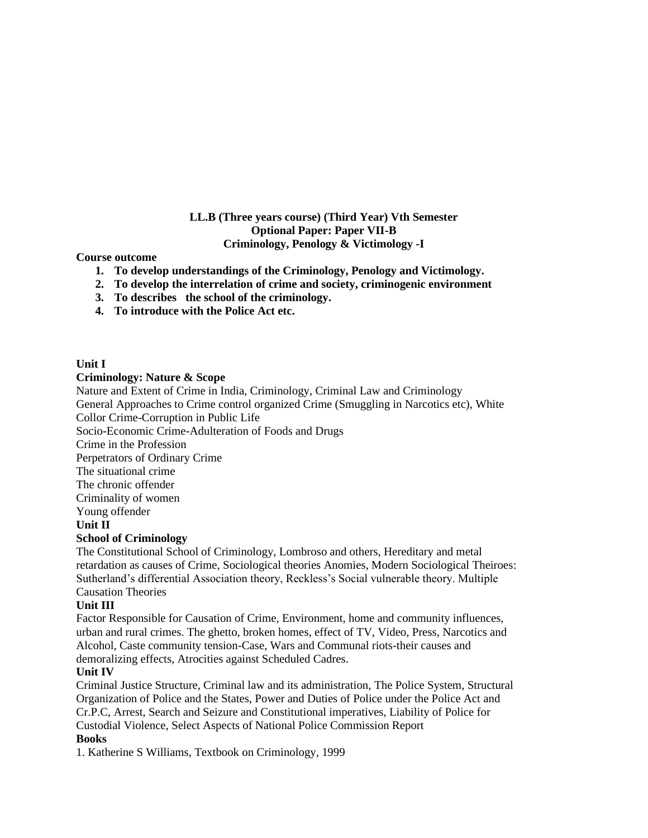# **LL.B (Three years course) (Third Year) Vth Semester Optional Paper: Paper VII-B Criminology, Penology & Victimology -I**

#### **Course outcome**

- **1. To develop understandings of the Criminology, Penology and Victimology.**
- **2. To develop the interrelation of crime and society, criminogenic environment**
- **3. To describes the school of the criminology.**
- **4. To introduce with the Police Act etc.**

#### **Unit I**

#### **Criminology: Nature & Scope**

Nature and Extent of Crime in India, Criminology, Criminal Law and Criminology General Approaches to Crime control organized Crime (Smuggling in Narcotics etc), White Collor Crime-Corruption in Public Life Socio-Economic Crime-Adulteration of Foods and Drugs Crime in the Profession Perpetrators of Ordinary Crime The situational crime The chronic offender Criminality of women Young offender **Unit II School of Criminology** The Constitutional School of Criminology, Lombroso and others, Hereditary and metal

retardation as causes of Crime, Sociological theories Anomies, Modern Sociological Theiroes: Sutherland's differential Association theory, Reckless's Social vulnerable theory. Multiple Causation Theories

# **Unit III**

Factor Responsible for Causation of Crime, Environment, home and community influences, urban and rural crimes. The ghetto, broken homes, effect of TV, Video, Press, Narcotics and Alcohol, Caste community tension-Case, Wars and Communal riots-their causes and demoralizing effects, Atrocities against Scheduled Cadres.

#### **Unit IV**

Criminal Justice Structure, Criminal law and its administration, The Police System, Structural Organization of Police and the States, Power and Duties of Police under the Police Act and Cr.P.C, Arrest, Search and Seizure and Constitutional imperatives, Liability of Police for Custodial Violence, Select Aspects of National Police Commission Report

# **Books**

1. Katherine S Williams, Textbook on Criminology, 1999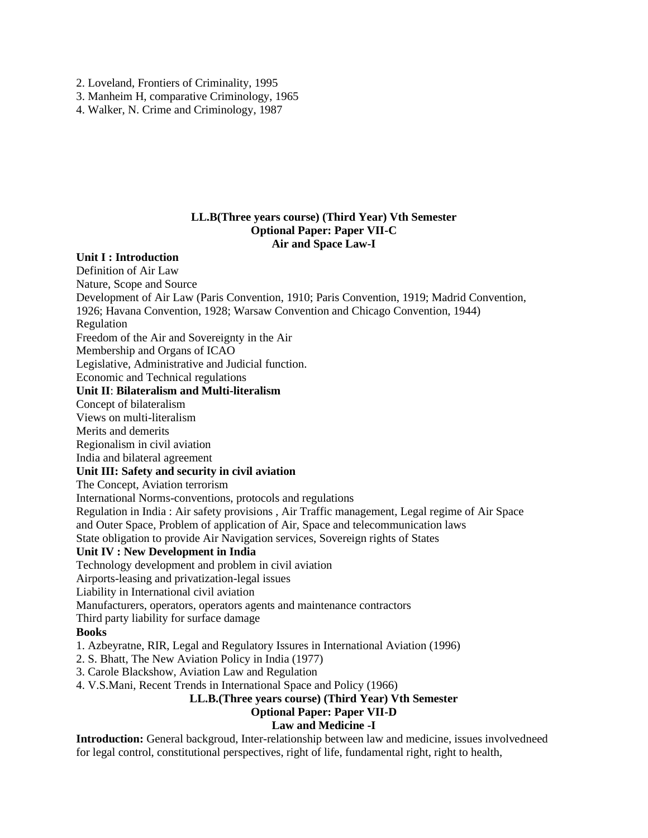2. Loveland, Frontiers of Criminality, 1995

3. Manheim H, comparative Criminology, 1965

4. Walker, N. Crime and Criminology, 1987

#### **LL.B(Three years course) (Third Year) Vth Semester Optional Paper: Paper VII-C Air and Space Law-I**

#### **Unit I : Introduction**

Definition of Air Law Nature, Scope and Source Development of Air Law (Paris Convention, 1910; Paris Convention, 1919; Madrid Convention, 1926; Havana Convention, 1928; Warsaw Convention and Chicago Convention, 1944) Regulation Freedom of the Air and Sovereignty in the Air Membership and Organs of ICAO Legislative, Administrative and Judicial function. Economic and Technical regulations **Unit II**: **Bilateralism and Multi-literalism** Concept of bilateralism Views on multi-literalism Merits and demerits Regionalism in civil aviation India and bilateral agreement **Unit III: Safety and security in civil aviation** The Concept, Aviation terrorism International Norms-conventions, protocols and regulations Regulation in India : Air safety provisions , Air Traffic management, Legal regime of Air Space and Outer Space, Problem of application of Air, Space and telecommunication laws State obligation to provide Air Navigation services, Sovereign rights of States **Unit IV : New Development in India** Technology development and problem in civil aviation Airports-leasing and privatization-legal issues Liability in International civil aviation Manufacturers, operators, operators agents and maintenance contractors Third party liability for surface damage **Books** 1. Azbeyratne, RIR, Legal and Regulatory Issures in International Aviation (1996) 2. S. Bhatt, The New Aviation Policy in India (1977) 3. Carole Blackshow, Aviation Law and Regulation 4. V.S.Mani, Recent Trends in International Space and Policy (1966) **LL.B.(Three years course) (Third Year) Vth Semester Optional Paper: Paper VII-D Law and Medicine -I**

**Introduction:** General backgroud, Inter-relationship between law and medicine, issues involvedneed for legal control, constitutional perspectives, right of life, fundamental right, right to health,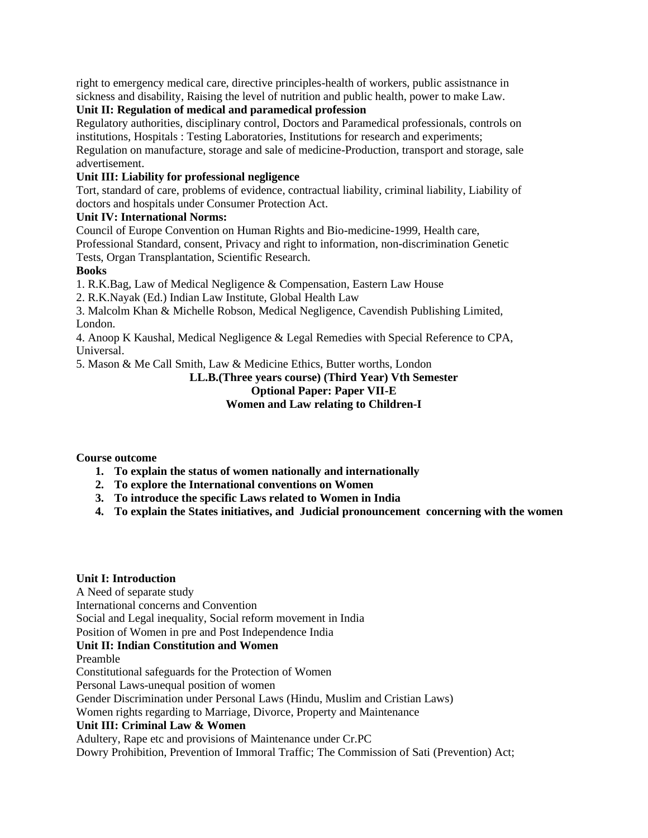right to emergency medical care, directive principles-health of workers, public assistnance in sickness and disability, Raising the level of nutrition and public health, power to make Law.

# **Unit II: Regulation of medical and paramedical profession**

Regulatory authorities, disciplinary control, Doctors and Paramedical professionals, controls on institutions, Hospitals : Testing Laboratories, Institutions for research and experiments; Regulation on manufacture, storage and sale of medicine-Production, transport and storage, sale advertisement.

# **Unit III: Liability for professional negligence**

Tort, standard of care, problems of evidence, contractual liability, criminal liability, Liability of doctors and hospitals under Consumer Protection Act.

# **Unit IV: International Norms:**

Council of Europe Convention on Human Rights and Bio-medicine-1999, Health care,

Professional Standard, consent, Privacy and right to information, non-discrimination Genetic Tests, Organ Transplantation, Scientific Research.

# **Books**

1. R.K.Bag, Law of Medical Negligence & Compensation, Eastern Law House

2. R.K.Nayak (Ed.) Indian Law Institute, Global Health Law

3. Malcolm Khan & Michelle Robson, Medical Negligence, Cavendish Publishing Limited, London.

4. Anoop K Kaushal, Medical Negligence & Legal Remedies with Special Reference to CPA, Universal.

5. Mason & Me Call Smith, Law & Medicine Ethics, Butter worths, London

# **LL.B.(Three years course) (Third Year) Vth Semester**

# **Optional Paper: Paper VII-E**

# **Women and Law relating to Children-I**

# **Course outcome**

- **1. To explain the status of women nationally and internationally**
- **2. To explore the International conventions on Women**
- **3. To introduce the specific Laws related to Women in India**
- **4. To explain the States initiatives, and Judicial pronouncement concerning with the women**

# **Unit I: Introduction**

A Need of separate study International concerns and Convention

Social and Legal inequality, Social reform movement in India

Position of Women in pre and Post Independence India

# **Unit II: Indian Constitution and Women**

Preamble

Constitutional safeguards for the Protection of Women

Personal Laws-unequal position of women

Gender Discrimination under Personal Laws (Hindu, Muslim and Cristian Laws)

Women rights regarding to Marriage, Divorce, Property and Maintenance

# **Unit III: Criminal Law & Women**

Adultery, Rape etc and provisions of Maintenance under Cr.PC

Dowry Prohibition, Prevention of Immoral Traffic; The Commission of Sati (Prevention) Act;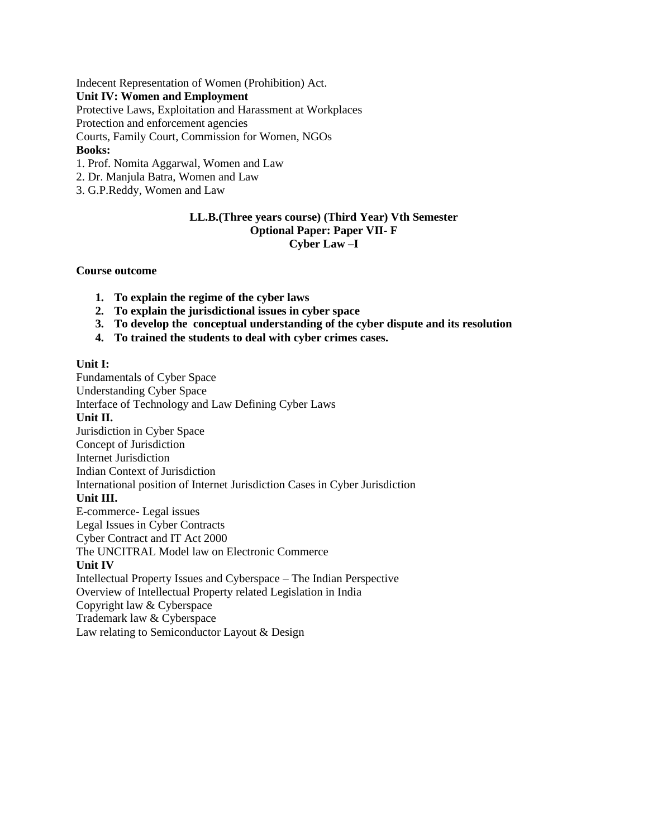Indecent Representation of Women (Prohibition) Act.

#### **Unit IV: Women and Employment**

Protective Laws, Exploitation and Harassment at Workplaces

Protection and enforcement agencies

Courts, Family Court, Commission for Women, NGOs

# **Books:**

- 1. Prof. Nomita Aggarwal, Women and Law
- 2. Dr. Manjula Batra, Women and Law
- 3. G.P.Reddy, Women and Law

# **LL.B.(Three years course) (Third Year) Vth Semester Optional Paper: Paper VII- F Cyber Law –I**

#### **Course outcome**

- **1. To explain the regime of the cyber laws**
- **2. To explain the jurisdictional issues in cyber space**
- **3. To develop the conceptual understanding of the cyber dispute and its resolution**
- **4. To trained the students to deal with cyber crimes cases.**

#### **Unit I:**

Fundamentals of Cyber Space Understanding Cyber Space Interface of Technology and Law Defining Cyber Laws **Unit II.** Jurisdiction in Cyber Space Concept of Jurisdiction Internet Jurisdiction Indian Context of Jurisdiction International position of Internet Jurisdiction Cases in Cyber Jurisdiction **Unit III.** E-commerce- Legal issues Legal Issues in Cyber Contracts Cyber Contract and IT Act 2000 The UNCITRAL Model law on Electronic Commerce **Unit IV** Intellectual Property Issues and Cyberspace – The Indian Perspective Overview of Intellectual Property related Legislation in India Copyright law & Cyberspace Trademark law & Cyberspace

Law relating to Semiconductor Layout & Design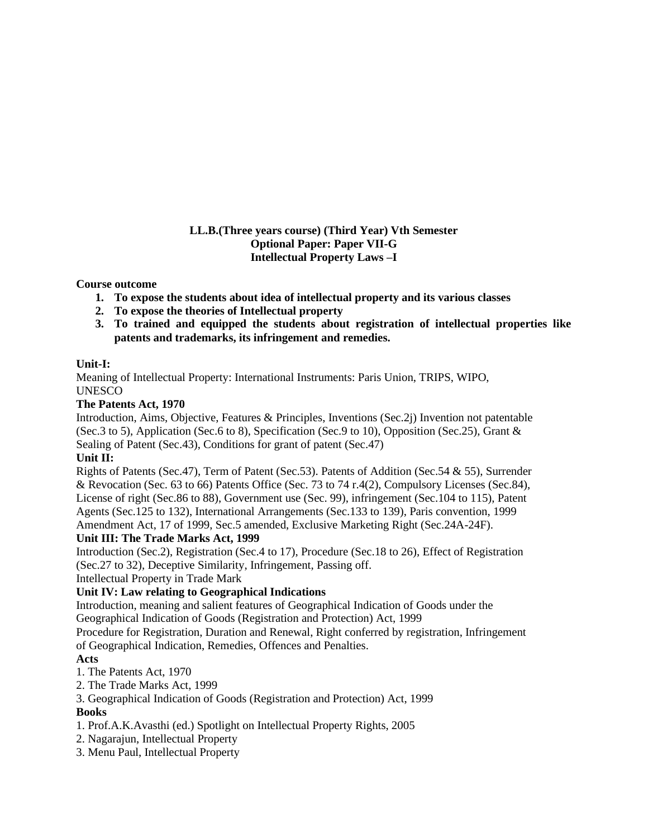# **LL.B.(Three years course) (Third Year) Vth Semester Optional Paper: Paper VII-G Intellectual Property Laws –I**

# **Course outcome**

- **1. To expose the students about idea of intellectual property and its various classes**
- **2. To expose the theories of Intellectual property**
- **3. To trained and equipped the students about registration of intellectual properties like patents and trademarks, its infringement and remedies.**

# **Unit-I:**

Meaning of Intellectual Property: International Instruments: Paris Union, TRIPS, WIPO, UNESCO

# **The Patents Act, 1970**

Introduction, Aims, Objective, Features & Principles, Inventions (Sec.2j) Invention not patentable (Sec.3 to 5), Application (Sec.6 to 8), Specification (Sec.9 to 10), Opposition (Sec.25), Grant & Sealing of Patent (Sec.43), Conditions for grant of patent (Sec.47)

# **Unit II:**

Rights of Patents (Sec.47), Term of Patent (Sec.53). Patents of Addition (Sec.54 & 55), Surrender & Revocation (Sec. 63 to 66) Patents Office (Sec. 73 to 74 r.4(2), Compulsory Licenses (Sec.84), License of right (Sec.86 to 88), Government use (Sec. 99), infringement (Sec.104 to 115), Patent Agents (Sec.125 to 132), International Arrangements (Sec.133 to 139), Paris convention, 1999 Amendment Act, 17 of 1999, Sec.5 amended, Exclusive Marketing Right (Sec.24A-24F).

# **Unit III: The Trade Marks Act, 1999**

Introduction (Sec.2), Registration (Sec.4 to 17), Procedure (Sec.18 to 26), Effect of Registration (Sec.27 to 32), Deceptive Similarity, Infringement, Passing off.

Intellectual Property in Trade Mark

# **Unit IV: Law relating to Geographical Indications**

Introduction, meaning and salient features of Geographical Indication of Goods under the Geographical Indication of Goods (Registration and Protection) Act, 1999

Procedure for Registration, Duration and Renewal, Right conferred by registration, Infringement of Geographical Indication, Remedies, Offences and Penalties.

# **Acts**

- 1. The Patents Act, 1970
- 2. The Trade Marks Act, 1999
- 3. Geographical Indication of Goods (Registration and Protection) Act, 1999 **Books**
- 1. Prof.A.K.Avasthi (ed.) Spotlight on Intellectual Property Rights, 2005
- 2. Nagarajun, Intellectual Property
- 3. Menu Paul, Intellectual Property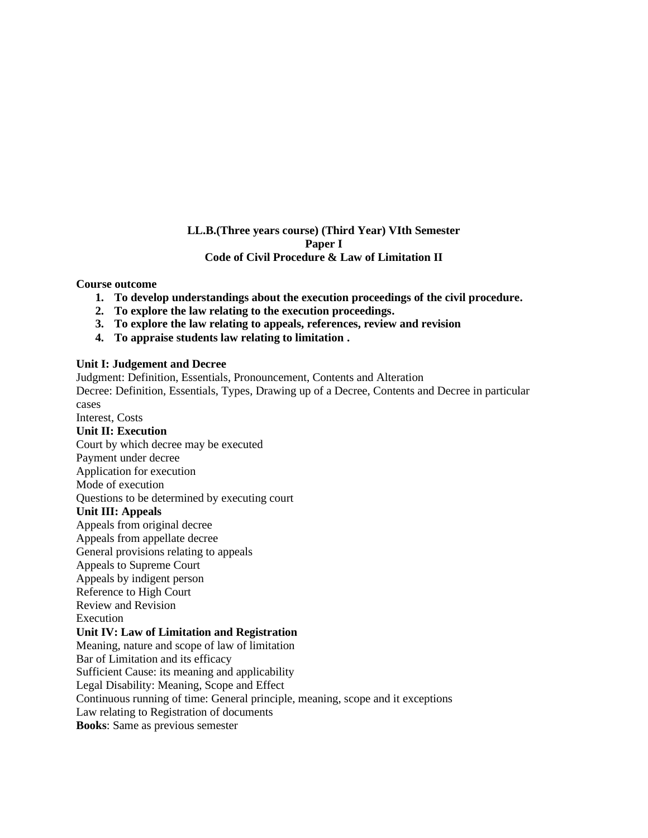## **LL.B.(Three years course) (Third Year) VIth Semester Paper I Code of Civil Procedure & Law of Limitation II**

#### **Course outcome**

- **1. To develop understandings about the execution proceedings of the civil procedure.**
- **2. To explore the law relating to the execution proceedings.**
- **3. To explore the law relating to appeals, references, review and revision**
- **4. To appraise students law relating to limitation .**

#### **Unit I: Judgement and Decree**

Judgment: Definition, Essentials, Pronouncement, Contents and Alteration Decree: Definition, Essentials, Types, Drawing up of a Decree, Contents and Decree in particular cases Interest, Costs **Unit II: Execution** Court by which decree may be executed Payment under decree Application for execution Mode of execution Questions to be determined by executing court **Unit III: Appeals** Appeals from original decree Appeals from appellate decree General provisions relating to appeals Appeals to Supreme Court Appeals by indigent person Reference to High Court Review and Revision Execution **Unit IV: Law of Limitation and Registration** Meaning, nature and scope of law of limitation Bar of Limitation and its efficacy Sufficient Cause: its meaning and applicability Legal Disability: Meaning, Scope and Effect Continuous running of time: General principle, meaning, scope and it exceptions Law relating to Registration of documents **Books**: Same as previous semester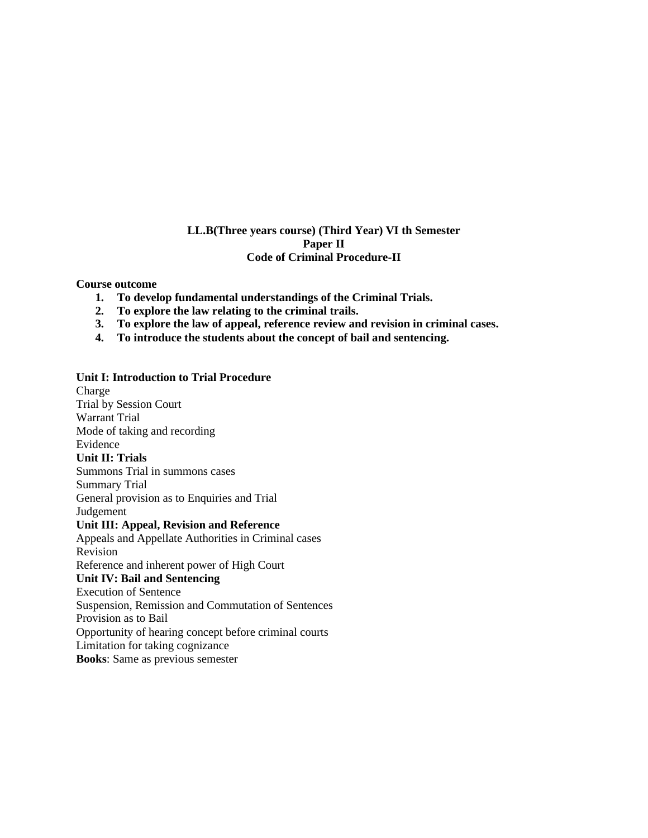# **LL.B(Three years course) (Third Year) VI th Semester Paper II Code of Criminal Procedure-II**

#### **Course outcome**

- **1. To develop fundamental understandings of the Criminal Trials.**
- **2. To explore the law relating to the criminal trails.**
- **3. To explore the law of appeal, reference review and revision in criminal cases.**
- **4. To introduce the students about the concept of bail and sentencing.**

#### **Unit I: Introduction to Trial Procedure**

Charge Trial by Session Court Warrant Trial Mode of taking and recording Evidence **Unit II: Trials** Summons Trial in summons cases Summary Trial General provision as to Enquiries and Trial Judgement **Unit III: Appeal, Revision and Reference** Appeals and Appellate Authorities in Criminal cases Revision Reference and inherent power of High Court **Unit IV: Bail and Sentencing** Execution of Sentence Suspension, Remission and Commutation of Sentences Provision as to Bail Opportunity of hearing concept before criminal courts Limitation for taking cognizance **Books**: Same as previous semester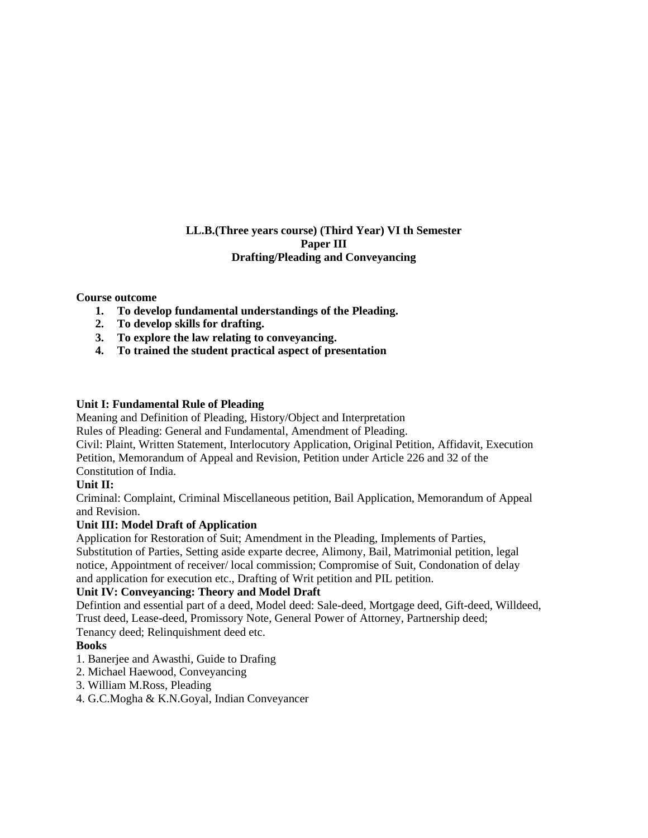# **LL.B.(Three years course) (Third Year) VI th Semester Paper III Drafting/Pleading and Conveyancing**

# **Course outcome**

- **1. To develop fundamental understandings of the Pleading.**
- **2. To develop skills for drafting.**
- **3. To explore the law relating to conveyancing.**
- **4. To trained the student practical aspect of presentation**

#### **Unit I: Fundamental Rule of Pleading**

Meaning and Definition of Pleading, History/Object and Interpretation

Rules of Pleading: General and Fundamental, Amendment of Pleading.

Civil: Plaint, Written Statement, Interlocutory Application, Original Petition, Affidavit, Execution Petition, Memorandum of Appeal and Revision, Petition under Article 226 and 32 of the Constitution of India.

#### **Unit II:**

Criminal: Complaint, Criminal Miscellaneous petition, Bail Application, Memorandum of Appeal and Revision.

#### **Unit III: Model Draft of Application**

Application for Restoration of Suit; Amendment in the Pleading, Implements of Parties, Substitution of Parties, Setting aside exparte decree, Alimony, Bail, Matrimonial petition, legal notice, Appointment of receiver/ local commission; Compromise of Suit, Condonation of delay and application for execution etc., Drafting of Writ petition and PIL petition.

# **Unit IV: Conveyancing: Theory and Model Draft**

Defintion and essential part of a deed, Model deed: Sale-deed, Mortgage deed, Gift-deed, Willdeed, Trust deed, Lease-deed, Promissory Note, General Power of Attorney, Partnership deed; Tenancy deed; Relinquishment deed etc.

#### **Books**

- 1. Banerjee and Awasthi, Guide to Drafing
- 2. Michael Haewood, Conveyancing
- 3. William M.Ross, Pleading
- 4. G.C.Mogha & K.N.Goyal, Indian Conveyancer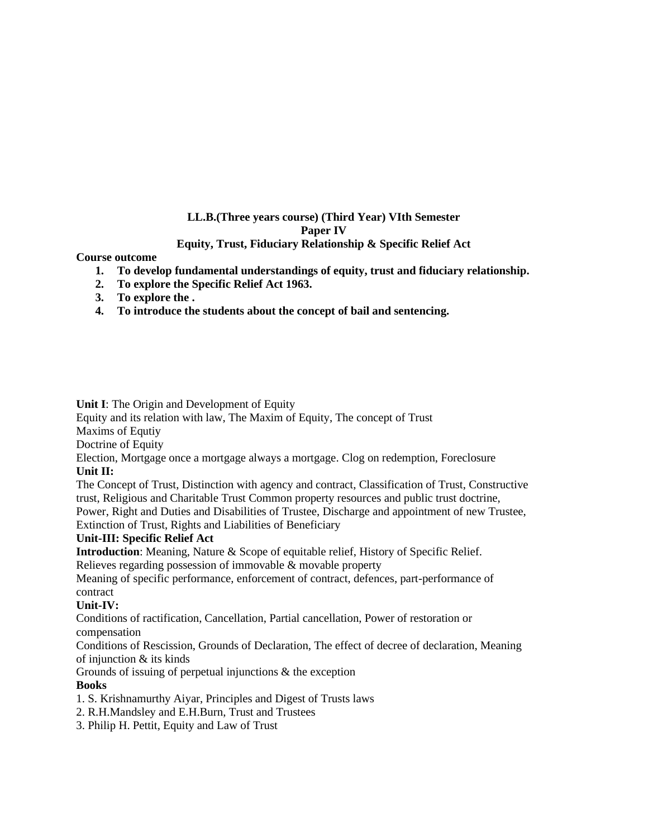# **LL.B.(Three years course) (Third Year) VIth Semester Paper IV**

# **Equity, Trust, Fiduciary Relationship & Specific Relief Act**

#### **Course outcome**

- **1. To develop fundamental understandings of equity, trust and fiduciary relationship.**
- **2. To explore the Specific Relief Act 1963.**
- **3. To explore the .**
- **4. To introduce the students about the concept of bail and sentencing.**

# **Unit I**: The Origin and Development of Equity

Equity and its relation with law, The Maxim of Equity, The concept of Trust

Maxims of Equtiy

Doctrine of Equity

Election, Mortgage once a mortgage always a mortgage. Clog on redemption, Foreclosure **Unit II:**

The Concept of Trust, Distinction with agency and contract, Classification of Trust, Constructive trust, Religious and Charitable Trust Common property resources and public trust doctrine, Power, Right and Duties and Disabilities of Trustee, Discharge and appointment of new Trustee,

Extinction of Trust, Rights and Liabilities of Beneficiary

#### **Unit-III: Specific Relief Act**

**Introduction**: Meaning, Nature & Scope of equitable relief, History of Specific Relief.

Relieves regarding possession of immovable & movable property

Meaning of specific performance, enforcement of contract, defences, part-performance of contract

# **Unit-IV:**

Conditions of ractification, Cancellation, Partial cancellation, Power of restoration or compensation

Conditions of Rescission, Grounds of Declaration, The effect of decree of declaration, Meaning of injunction & its kinds

Grounds of issuing of perpetual injunctions & the exception

# **Books**

- 1. S. Krishnamurthy Aiyar, Principles and Digest of Trusts laws
- 2. R.H.Mandsley and E.H.Burn, Trust and Trustees
- 3. Philip H. Pettit, Equity and Law of Trust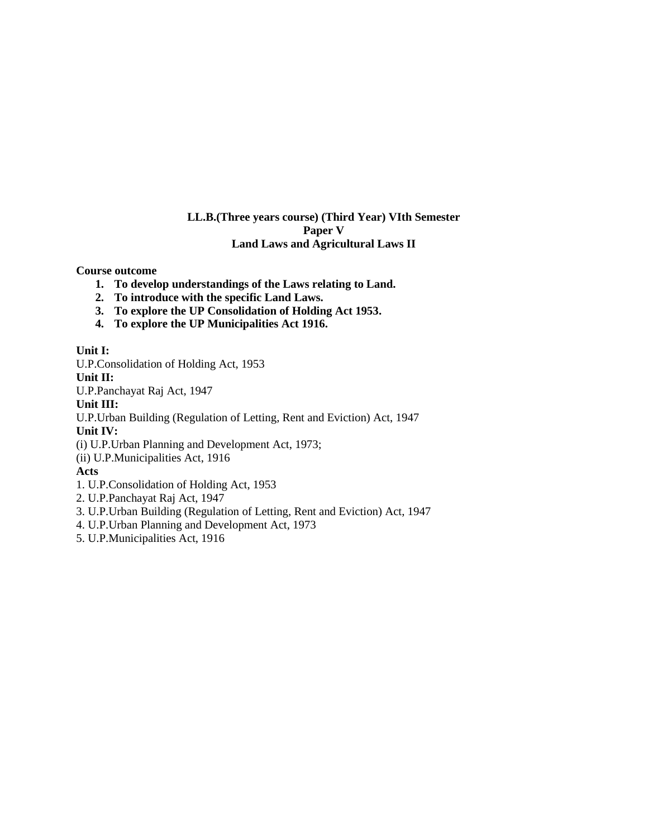# **LL.B.(Three years course) (Third Year) VIth Semester Paper V Land Laws and Agricultural Laws II**

**Course outcome**

- **1. To develop understandings of the Laws relating to Land.**
- **2. To introduce with the specific Land Laws.**
- **3. To explore the UP Consolidation of Holding Act 1953.**
- **4. To explore the UP Municipalities Act 1916.**

#### **Unit I:**

U.P.Consolidation of Holding Act, 1953

**Unit II:**

U.P.Panchayat Raj Act, 1947

#### **Unit III:**

U.P.Urban Building (Regulation of Letting, Rent and Eviction) Act, 1947

# **Unit IV:**

(i) U.P.Urban Planning and Development Act, 1973;

(ii) U.P.Municipalities Act, 1916

#### **Acts**

- 1. U.P.Consolidation of Holding Act, 1953
- 2. U.P.Panchayat Raj Act, 1947
- 3. U.P.Urban Building (Regulation of Letting, Rent and Eviction) Act, 1947
- 4. U.P.Urban Planning and Development Act, 1973
- 5. U.P.Municipalities Act, 1916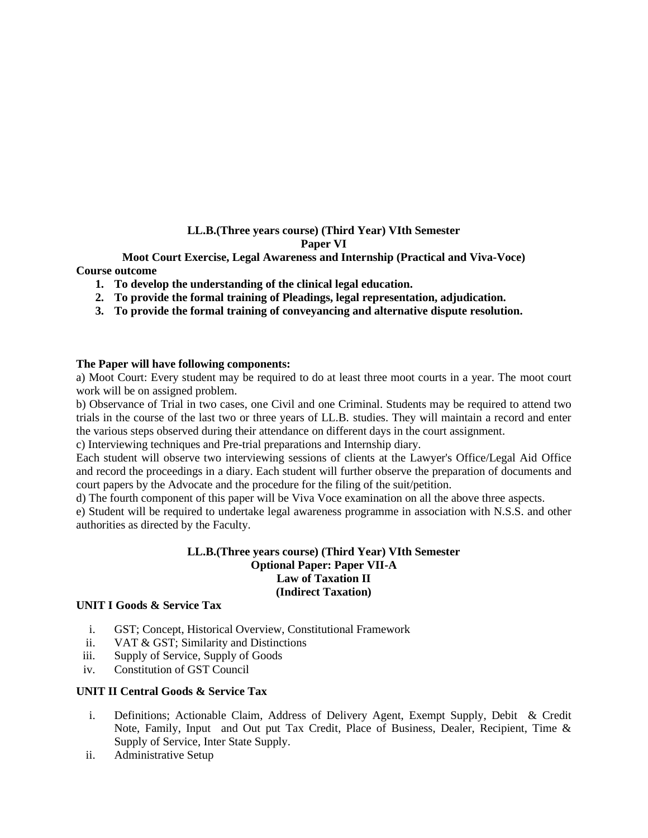# **LL.B.(Three years course) (Third Year) VIth Semester Paper VI**

**Moot Court Exercise, Legal Awareness and Internship (Practical and Viva-Voce) Course outcome**

- **1. To develop the understanding of the clinical legal education.**
- **2. To provide the formal training of Pleadings, legal representation, adjudication.**
- **3. To provide the formal training of conveyancing and alternative dispute resolution.**

#### **The Paper will have following components:**

a) Moot Court: Every student may be required to do at least three moot courts in a year. The moot court work will be on assigned problem.

b) Observance of Trial in two cases, one Civil and one Criminal. Students may be required to attend two trials in the course of the last two or three years of LL.B. studies. They will maintain a record and enter the various steps observed during their attendance on different days in the court assignment.

c) Interviewing techniques and Pre-trial preparations and Internship diary.

Each student will observe two interviewing sessions of clients at the Lawyer's Office/Legal Aid Office and record the proceedings in a diary. Each student will further observe the preparation of documents and court papers by the Advocate and the procedure for the filing of the suit/petition.

d) The fourth component of this paper will be Viva Voce examination on all the above three aspects.

e) Student will be required to undertake legal awareness programme in association with N.S.S. and other authorities as directed by the Faculty.

#### **LL.B.(Three years course) (Third Year) VIth Semester Optional Paper: Paper VII-A Law of Taxation II (Indirect Taxation)**

#### **UNIT I Goods & Service Tax**

- i. GST; Concept, Historical Overview, Constitutional Framework
- ii. VAT & GST; Similarity and Distinctions
- iii. Supply of Service, Supply of Goods
- iv. Constitution of GST Council

#### **UNIT II Central Goods & Service Tax**

- i. Definitions; Actionable Claim, Address of Delivery Agent, Exempt Supply, Debit & Credit Note, Family, Input and Out put Tax Credit, Place of Business, Dealer, Recipient, Time & Supply of Service, Inter State Supply.
- ii. Administrative Setup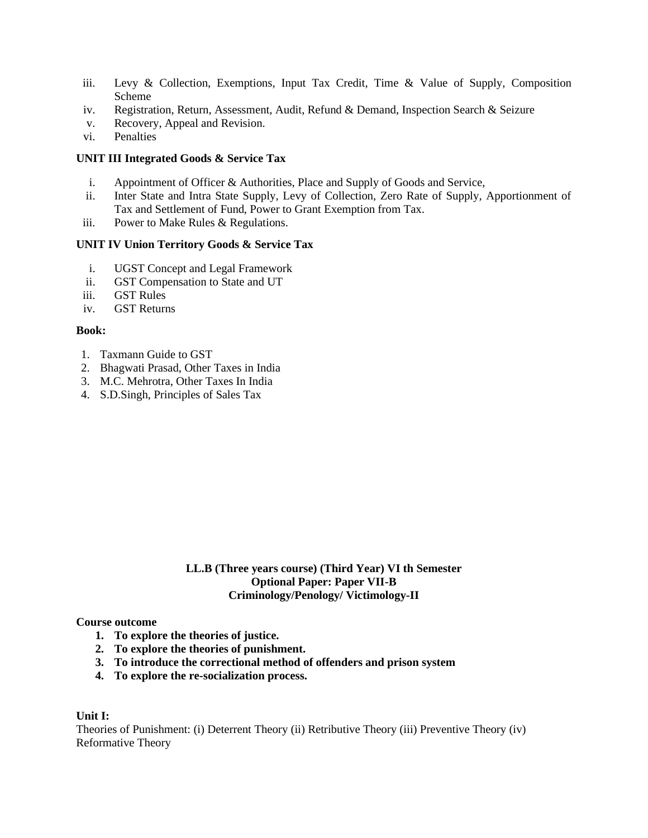- iii. Levy & Collection, Exemptions, Input Tax Credit, Time & Value of Supply, Composition Scheme
- iv. Registration, Return, Assessment, Audit, Refund & Demand, Inspection Search & Seizure
- v. Recovery, Appeal and Revision.
- vi. Penalties

#### **UNIT III Integrated Goods & Service Tax**

- i. Appointment of Officer & Authorities, Place and Supply of Goods and Service,
- ii. Inter State and Intra State Supply, Levy of Collection, Zero Rate of Supply, Apportionment of Tax and Settlement of Fund, Power to Grant Exemption from Tax.
- iii. Power to Make Rules & Regulations.

#### **UNIT IV Union Territory Goods & Service Tax**

- i. UGST Concept and Legal Framework
- ii. GST Compensation to State and UT
- iii. GST Rules
- iv. GST Returns

#### **Book:**

- 1. Taxmann Guide to GST
- 2. Bhagwati Prasad, Other Taxes in India
- 3. M.C. Mehrotra, Other Taxes In India
- 4. S.D.Singh, Principles of Sales Tax

#### **LL.B (Three years course) (Third Year) VI th Semester Optional Paper: Paper VII-B Criminology/Penology/ Victimology-II**

#### **Course outcome**

- **1. To explore the theories of justice.**
- **2. To explore the theories of punishment.**
- **3. To introduce the correctional method of offenders and prison system**
- **4. To explore the re-socialization process.**

#### **Unit I:**

Theories of Punishment: (i) Deterrent Theory (ii) Retributive Theory (iii) Preventive Theory (iv) Reformative Theory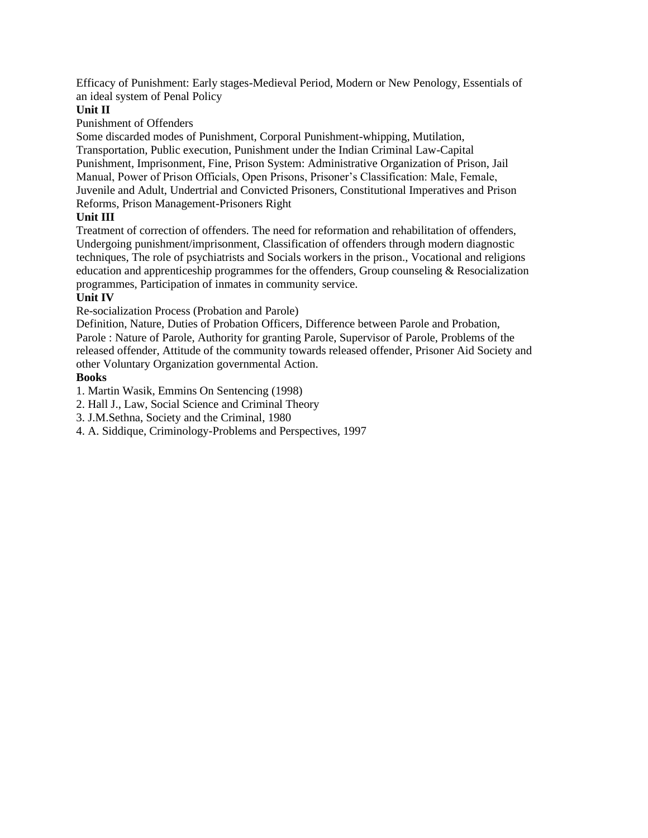Efficacy of Punishment: Early stages-Medieval Period, Modern or New Penology, Essentials of an ideal system of Penal Policy

# **Unit II**

Punishment of Offenders

Some discarded modes of Punishment, Corporal Punishment-whipping, Mutilation, Transportation, Public execution, Punishment under the Indian Criminal Law-Capital Punishment, Imprisonment, Fine, Prison System: Administrative Organization of Prison, Jail Manual, Power of Prison Officials, Open Prisons, Prisoner's Classification: Male, Female, Juvenile and Adult, Undertrial and Convicted Prisoners, Constitutional Imperatives and Prison Reforms, Prison Management-Prisoners Right

# **Unit III**

Treatment of correction of offenders. The need for reformation and rehabilitation of offenders, Undergoing punishment/imprisonment, Classification of offenders through modern diagnostic techniques, The role of psychiatrists and Socials workers in the prison., Vocational and religions education and apprenticeship programmes for the offenders, Group counseling  $\&$  Resocialization programmes, Participation of inmates in community service.

# **Unit IV**

Re-socialization Process (Probation and Parole)

Definition, Nature, Duties of Probation Officers, Difference between Parole and Probation, Parole : Nature of Parole, Authority for granting Parole, Supervisor of Parole, Problems of the released offender, Attitude of the community towards released offender, Prisoner Aid Society and other Voluntary Organization governmental Action.

# **Books**

1. Martin Wasik, Emmins On Sentencing (1998)

- 2. Hall J., Law, Social Science and Criminal Theory
- 3. J.M.Sethna, Society and the Criminal, 1980
- 4. A. Siddique, Criminology-Problems and Perspectives, 1997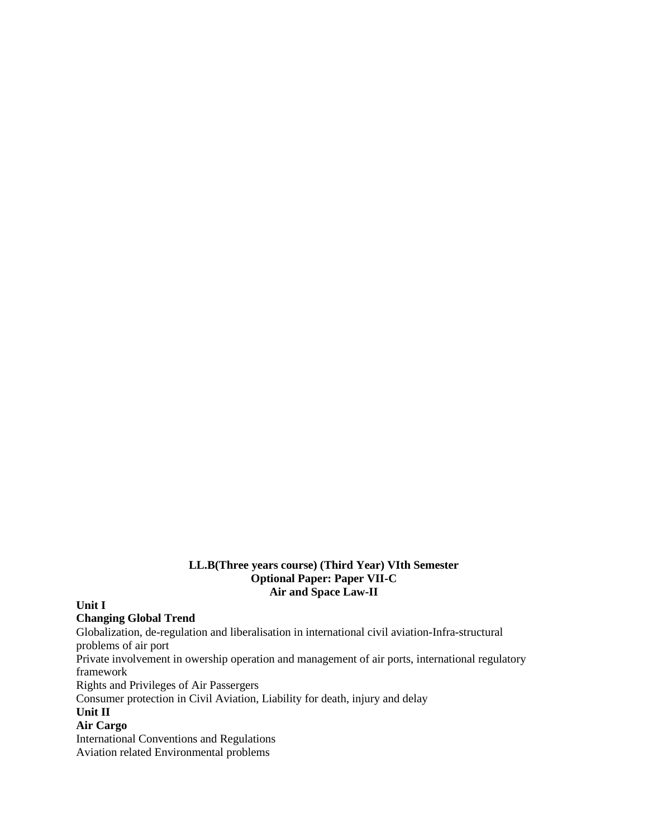#### **LL.B(Three years course) (Third Year) VIth Semester Optional Paper: Paper VII-C Air and Space Law-II**

**Unit I**

#### **Changing Global Trend**

Globalization, de-regulation and liberalisation in international civil aviation-Infra-structural problems of air port Private involvement in owership operation and management of air ports, international regulatory framework Rights and Privileges of Air Passergers Consumer protection in Civil Aviation, Liability for death, injury and delay **Unit II Air Cargo** International Conventions and Regulations Aviation related Environmental problems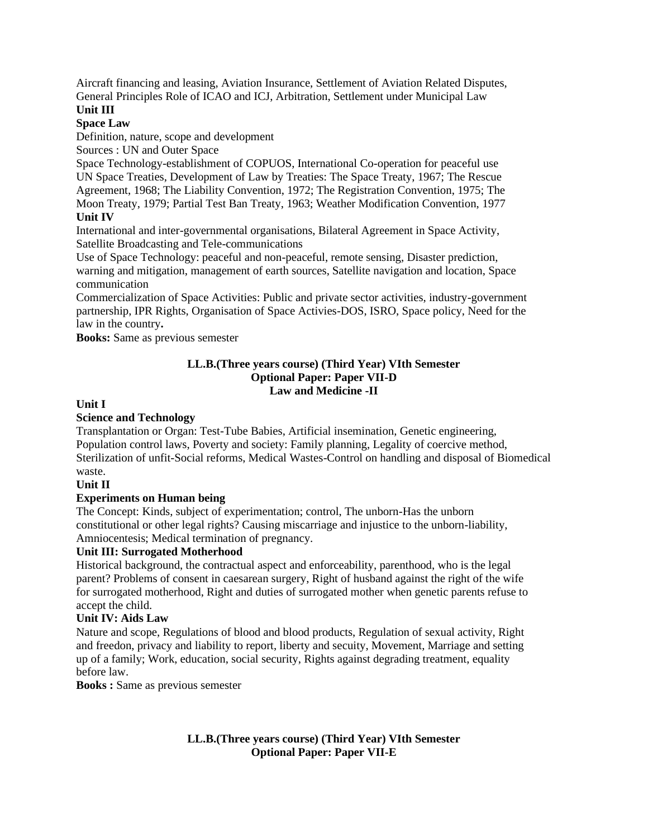Aircraft financing and leasing, Aviation Insurance, Settlement of Aviation Related Disputes, General Principles Role of ICAO and ICJ, Arbitration, Settlement under Municipal Law **Unit III**

# **Space Law**

Definition, nature, scope and development

Sources : UN and Outer Space

Space Technology-establishment of COPUOS, International Co-operation for peaceful use UN Space Treaties, Development of Law by Treaties: The Space Treaty, 1967; The Rescue Agreement, 1968; The Liability Convention, 1972; The Registration Convention, 1975; The Moon Treaty, 1979; Partial Test Ban Treaty, 1963; Weather Modification Convention, 1977

# **Unit IV**

International and inter-governmental organisations, Bilateral Agreement in Space Activity, Satellite Broadcasting and Tele-communications

Use of Space Technology: peaceful and non-peaceful, remote sensing, Disaster prediction, warning and mitigation, management of earth sources, Satellite navigation and location, Space communication

Commercialization of Space Activities: Public and private sector activities, industry-government partnership, IPR Rights, Organisation of Space Activies-DOS, ISRO, Space policy, Need for the law in the country**.**

**Books:** Same as previous semester

#### **LL.B.(Three years course) (Third Year) VIth Semester Optional Paper: Paper VII-D Law and Medicine -II**

# **Unit I**

# **Science and Technology**

Transplantation or Organ: Test-Tube Babies, Artificial insemination, Genetic engineering, Population control laws, Poverty and society: Family planning, Legality of coercive method, Sterilization of unfit-Social reforms, Medical Wastes-Control on handling and disposal of Biomedical waste.

#### **Unit II**

#### **Experiments on Human being**

The Concept: Kinds, subject of experimentation; control, The unborn-Has the unborn constitutional or other legal rights? Causing miscarriage and injustice to the unborn-liability, Amniocentesis; Medical termination of pregnancy.

#### **Unit III: Surrogated Motherhood**

Historical background, the contractual aspect and enforceability, parenthood, who is the legal parent? Problems of consent in caesarean surgery, Right of husband against the right of the wife for surrogated motherhood, Right and duties of surrogated mother when genetic parents refuse to accept the child.

# **Unit IV: Aids Law**

Nature and scope, Regulations of blood and blood products, Regulation of sexual activity, Right and freedon, privacy and liability to report, liberty and secuity, Movement, Marriage and setting up of a family; Work, education, social security, Rights against degrading treatment, equality before law.

**Books :** Same as previous semester

**LL.B.(Three years course) (Third Year) VIth Semester Optional Paper: Paper VII-E**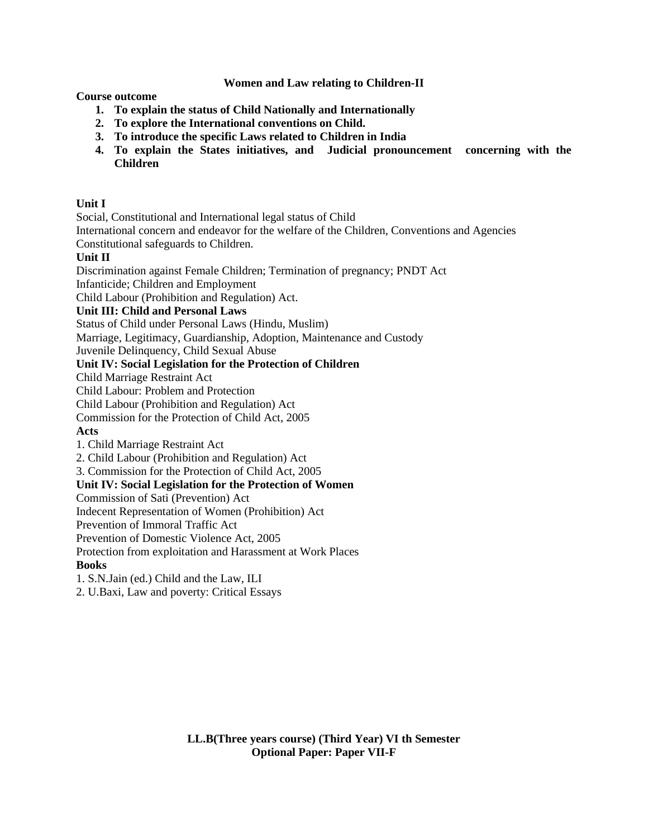## **Women and Law relating to Children-II**

**Course outcome**

- **1. To explain the status of Child Nationally and Internationally**
- **2. To explore the International conventions on Child.**
- **3. To introduce the specific Laws related to Children in India**
- **4. To explain the States initiatives, and Judicial pronouncement concerning with the Children**

#### **Unit I**

Social, Constitutional and International legal status of Child

International concern and endeavor for the welfare of the Children, Conventions and Agencies

Constitutional safeguards to Children.

## **Unit II**

Discrimination against Female Children; Termination of pregnancy; PNDT Act

Infanticide; Children and Employment

Child Labour (Prohibition and Regulation) Act.

#### **Unit III: Child and Personal Laws**

Status of Child under Personal Laws (Hindu, Muslim)

Marriage, Legitimacy, Guardianship, Adoption, Maintenance and Custody

Juvenile Delinquency, Child Sexual Abuse

# **Unit IV: Social Legislation for the Protection of Children**

Child Marriage Restraint Act

Child Labour: Problem and Protection

Child Labour (Prohibition and Regulation) Act

Commission for the Protection of Child Act, 2005

#### **Acts**

1. Child Marriage Restraint Act

2. Child Labour (Prohibition and Regulation) Act

3. Commission for the Protection of Child Act, 2005

#### **Unit IV: Social Legislation for the Protection of Women**

Commission of Sati (Prevention) Act

Indecent Representation of Women (Prohibition) Act

Prevention of Immoral Traffic Act

Prevention of Domestic Violence Act, 2005

Protection from exploitation and Harassment at Work Places

# **Books**

1. S.N.Jain (ed.) Child and the Law, ILI

2. U.Baxi, Law and poverty: Critical Essays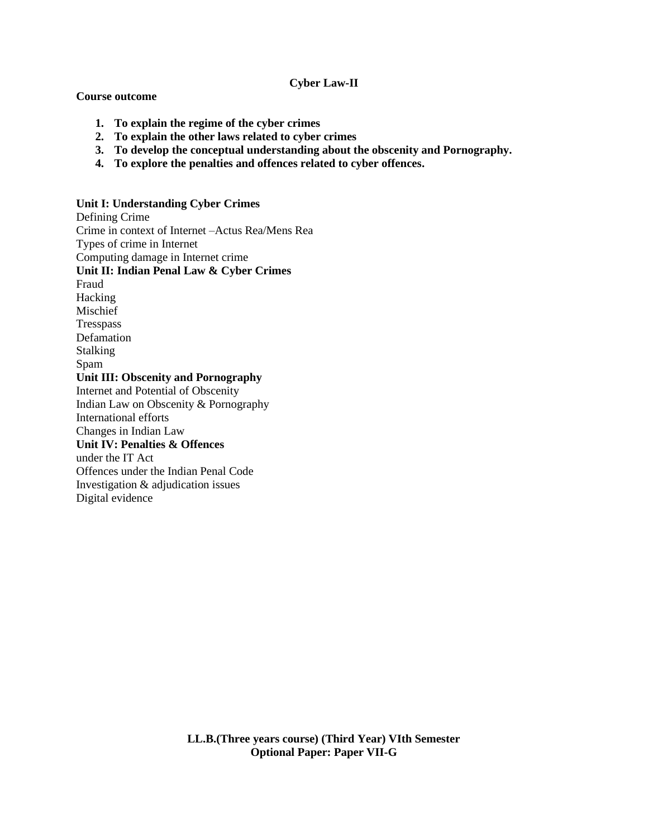#### **Cyber Law-II**

#### **Course outcome**

- **1. To explain the regime of the cyber crimes**
- **2. To explain the other laws related to cyber crimes**
- **3. To develop the conceptual understanding about the obscenity and Pornography.**
- **4. To explore the penalties and offences related to cyber offences.**

#### **Unit I: Understanding Cyber Crimes**

Defining Crime Crime in context of Internet –Actus Rea/Mens Rea Types of crime in Internet Computing damage in Internet crime **Unit II: Indian Penal Law & Cyber Crimes** Fraud Hacking Mischief Tresspass Defamation Stalking Spam **Unit III: Obscenity and Pornography** Internet and Potential of Obscenity Indian Law on Obscenity & Pornography International efforts Changes in Indian Law **Unit IV: Penalties & Offences** under the IT Act Offences under the Indian Penal Code Investigation & adjudication issues Digital evidence